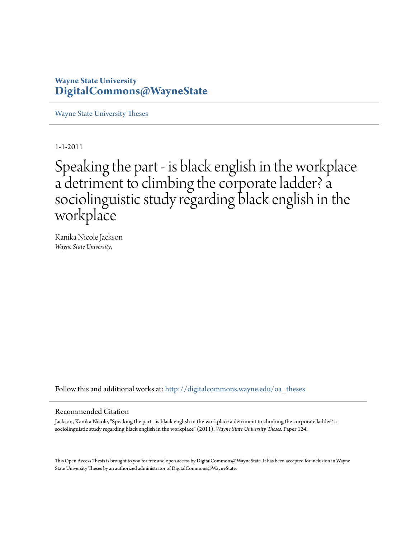## **Wayne State University [DigitalCommons@WayneState](http://digitalcommons.wayne.edu?utm_source=digitalcommons.wayne.edu%2Foa_theses%2F124&utm_medium=PDF&utm_campaign=PDFCoverPages)**

[Wayne State University Theses](http://digitalcommons.wayne.edu/oa_theses?utm_source=digitalcommons.wayne.edu%2Foa_theses%2F124&utm_medium=PDF&utm_campaign=PDFCoverPages)

1-1-2011

# Speaking the part - is black english in the workplace a detriment to climbing the corporate ladder? a sociolinguistic study regarding black english in the workplace

Kanika Nicole Jackson *Wayne State University*,

Follow this and additional works at: [http://digitalcommons.wayne.edu/oa\\_theses](http://digitalcommons.wayne.edu/oa_theses?utm_source=digitalcommons.wayne.edu%2Foa_theses%2F124&utm_medium=PDF&utm_campaign=PDFCoverPages)

#### Recommended Citation

Jackson, Kanika Nicole, "Speaking the part - is black english in the workplace a detriment to climbing the corporate ladder? a sociolinguistic study regarding black english in the workplace" (2011). *Wayne State University Theses.* Paper 124.

This Open Access Thesis is brought to you for free and open access by DigitalCommons@WayneState. It has been accepted for inclusion in Wayne State University Theses by an authorized administrator of DigitalCommons@WayneState.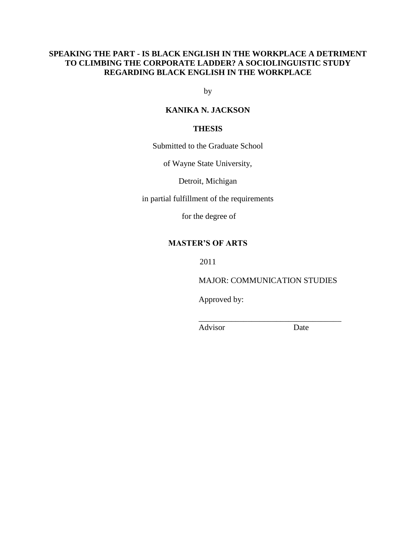## **SPEAKING THE PART - IS BLACK ENGLISH IN THE WORKPLACE A DETRIMENT TO CLIMBING THE CORPORATE LADDER? A SOCIOLINGUISTIC STUDY REGARDING BLACK ENGLISH IN THE WORKPLACE**

by

## **KANIKA N. JACKSON**

## **THESIS**

Submitted to the Graduate School

of Wayne State University,

Detroit, Michigan

in partial fulfillment of the requirements

for the degree of

## **MASTER'S OF ARTS**

2011

MAJOR: COMMUNICATION STUDIES

\_\_\_\_\_\_\_\_\_\_\_\_\_\_\_\_\_\_\_\_\_\_\_\_\_\_\_\_\_\_\_\_\_\_\_

Approved by:

Advisor Date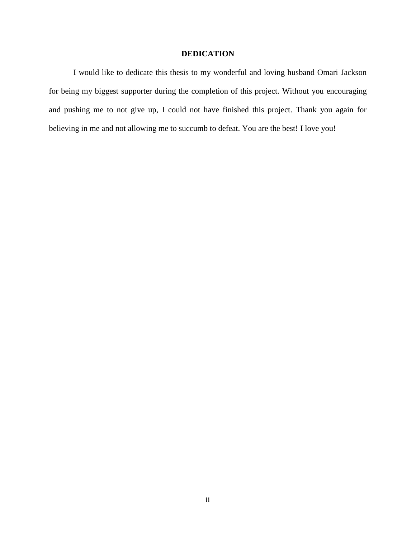### **DEDICATION**

I would like to dedicate this thesis to my wonderful and loving husband Omari Jackson for being my biggest supporter during the completion of this project. Without you encouraging and pushing me to not give up, I could not have finished this project. Thank you again for believing in me and not allowing me to succumb to defeat. You are the best! I love you!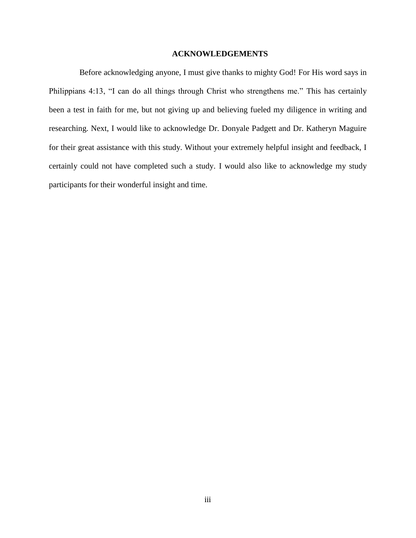#### **ACKNOWLEDGEMENTS**

Before acknowledging anyone, I must give thanks to mighty God! For His word says in Philippians 4:13, "I can do all things through Christ who strengthens me." This has certainly been a test in faith for me, but not giving up and believing fueled my diligence in writing and researching. Next, I would like to acknowledge Dr. Donyale Padgett and Dr. Katheryn Maguire for their great assistance with this study. Without your extremely helpful insight and feedback, I certainly could not have completed such a study. I would also like to acknowledge my study participants for their wonderful insight and time.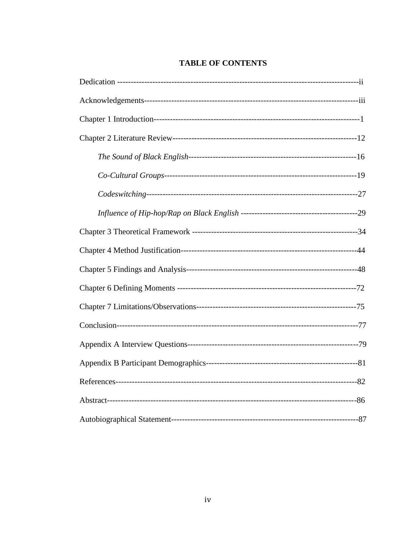# **TABLE OF CONTENTS**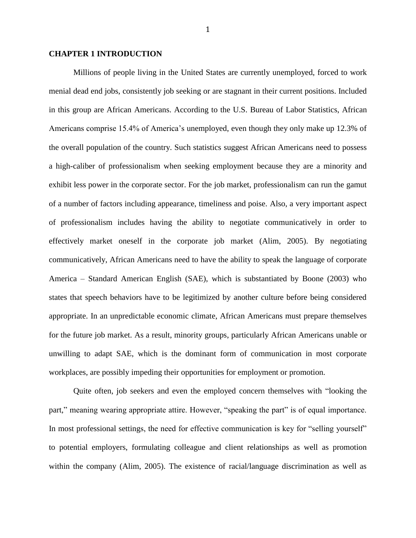#### **CHAPTER 1 INTRODUCTION**

Millions of people living in the United States are currently unemployed, forced to work menial dead end jobs, consistently job seeking or are stagnant in their current positions. Included in this group are African Americans. According to the U.S. Bureau of Labor Statistics, African Americans comprise 15.4% of America"s unemployed, even though they only make up 12.3% of the overall population of the country. Such statistics suggest African Americans need to possess a high-caliber of professionalism when seeking employment because they are a minority and exhibit less power in the corporate sector. For the job market, professionalism can run the gamut of a number of factors including appearance, timeliness and poise. Also, a very important aspect of professionalism includes having the ability to negotiate communicatively in order to effectively market oneself in the corporate job market (Alim, 2005). By negotiating communicatively, African Americans need to have the ability to speak the language of corporate America – Standard American English (SAE), which is substantiated by Boone (2003) who states that speech behaviors have to be legitimized by another culture before being considered appropriate. In an unpredictable economic climate, African Americans must prepare themselves for the future job market. As a result, minority groups, particularly African Americans unable or unwilling to adapt SAE, which is the dominant form of communication in most corporate workplaces, are possibly impeding their opportunities for employment or promotion.

Quite often, job seekers and even the employed concern themselves with "looking the part," meaning wearing appropriate attire. However, "speaking the part" is of equal importance. In most professional settings, the need for effective communication is key for "selling yourself" to potential employers, formulating colleague and client relationships as well as promotion within the company (Alim, 2005). The existence of racial/language discrimination as well as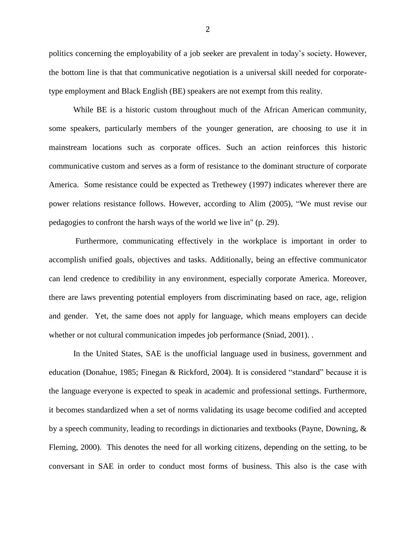politics concerning the employability of a job seeker are prevalent in today"s society. However, the bottom line is that that communicative negotiation is a universal skill needed for corporatetype employment and Black English (BE) speakers are not exempt from this reality.

While BE is a historic custom throughout much of the African American community, some speakers, particularly members of the younger generation, are choosing to use it in mainstream locations such as corporate offices. Such an action reinforces this historic communicative custom and serves as a form of resistance to the dominant structure of corporate America. Some resistance could be expected as Trethewey (1997) indicates wherever there are power relations resistance follows. However, according to Alim (2005), "We must revise our pedagogies to confront the harsh ways of the world we live in" (p. 29).

Furthermore, communicating effectively in the workplace is important in order to accomplish unified goals, objectives and tasks. Additionally, being an effective communicator can lend credence to credibility in any environment, especially corporate America. Moreover, there are laws preventing potential employers from discriminating based on race, age, religion and gender. Yet, the same does not apply for language, which means employers can decide whether or not cultural communication impedes job performance (Sniad, 2001). .

In the United States, SAE is the unofficial language used in business, government and education (Donahue, 1985; Finegan & Rickford, 2004). It is considered "standard" because it is the language everyone is expected to speak in academic and professional settings. Furthermore, it becomes standardized when a set of norms validating its usage become codified and accepted by a speech community, leading to recordings in dictionaries and textbooks (Payne, Downing, & Fleming, 2000). This denotes the need for all working citizens, depending on the setting, to be conversant in SAE in order to conduct most forms of business. This also is the case with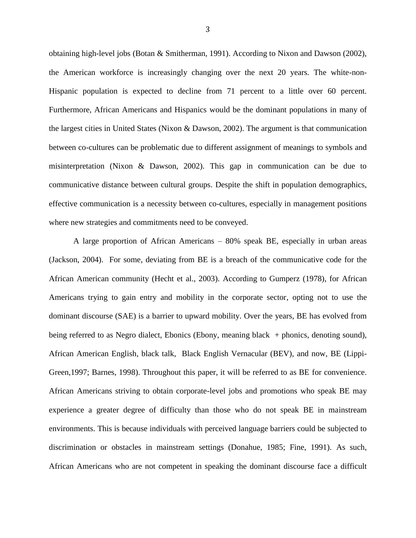obtaining high-level jobs (Botan & Smitherman, 1991). According to Nixon and Dawson (2002), the American workforce is increasingly changing over the next 20 years. The white-non-Hispanic population is expected to decline from 71 percent to a little over 60 percent. Furthermore, African Americans and Hispanics would be the dominant populations in many of the largest cities in United States (Nixon & Dawson, 2002). The argument is that communication between co-cultures can be problematic due to different assignment of meanings to symbols and misinterpretation (Nixon & Dawson, 2002). This gap in communication can be due to communicative distance between cultural groups. Despite the shift in population demographics, effective communication is a necessity between co-cultures, especially in management positions where new strategies and commitments need to be conveyed.

A large proportion of African Americans – 80% speak BE, especially in urban areas (Jackson, 2004). For some, deviating from BE is a breach of the communicative code for the African American community (Hecht et al., 2003). According to Gumperz (1978), for African Americans trying to gain entry and mobility in the corporate sector, opting not to use the dominant discourse (SAE) is a barrier to upward mobility. Over the years, BE has evolved from being referred to as Negro dialect, Ebonics (Ebony, meaning black + phonics, denoting sound), African American English, black talk, Black English Vernacular (BEV), and now, BE (Lippi-Green,1997; Barnes, 1998). Throughout this paper, it will be referred to as BE for convenience. African Americans striving to obtain corporate-level jobs and promotions who speak BE may experience a greater degree of difficulty than those who do not speak BE in mainstream environments. This is because individuals with perceived language barriers could be subjected to discrimination or obstacles in mainstream settings (Donahue, 1985; Fine, 1991). As such, African Americans who are not competent in speaking the dominant discourse face a difficult

3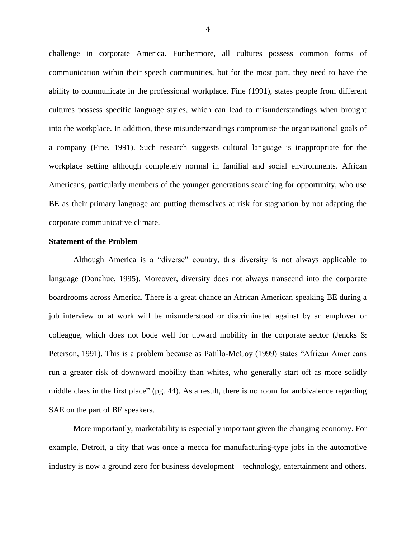challenge in corporate America. Furthermore, all cultures possess common forms of communication within their speech communities, but for the most part, they need to have the ability to communicate in the professional workplace. Fine (1991), states people from different cultures possess specific language styles, which can lead to misunderstandings when brought into the workplace. In addition, these misunderstandings compromise the organizational goals of a company (Fine, 1991). Such research suggests cultural language is inappropriate for the workplace setting although completely normal in familial and social environments. African Americans, particularly members of the younger generations searching for opportunity, who use BE as their primary language are putting themselves at risk for stagnation by not adapting the corporate communicative climate.

#### **Statement of the Problem**

Although America is a "diverse" country, this diversity is not always applicable to language (Donahue, 1995). Moreover, diversity does not always transcend into the corporate boardrooms across America. There is a great chance an African American speaking BE during a job interview or at work will be misunderstood or discriminated against by an employer or colleague, which does not bode well for upward mobility in the corporate sector (Jencks & Peterson, 1991). This is a problem because as Patillo-McCoy (1999) states "African Americans run a greater risk of downward mobility than whites, who generally start off as more solidly middle class in the first place" (pg. 44). As a result, there is no room for ambivalence regarding SAE on the part of BE speakers.

More importantly, marketability is especially important given the changing economy. For example, Detroit, a city that was once a mecca for manufacturing-type jobs in the automotive industry is now a ground zero for business development – technology, entertainment and others.

4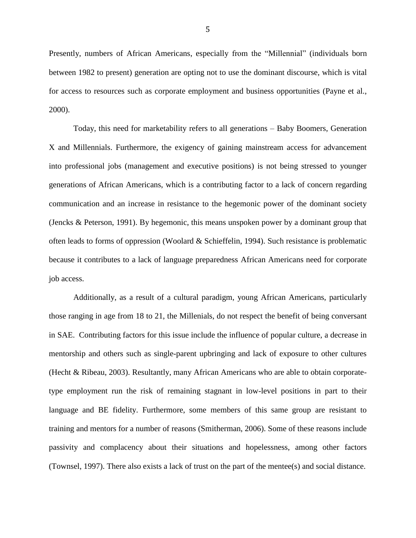Presently, numbers of African Americans, especially from the "Millennial" (individuals born between 1982 to present) generation are opting not to use the dominant discourse, which is vital for access to resources such as corporate employment and business opportunities (Payne et al., 2000).

Today, this need for marketability refers to all generations – Baby Boomers, Generation X and Millennials. Furthermore, the exigency of gaining mainstream access for advancement into professional jobs (management and executive positions) is not being stressed to younger generations of African Americans, which is a contributing factor to a lack of concern regarding communication and an increase in resistance to the hegemonic power of the dominant society (Jencks & Peterson, 1991). By hegemonic, this means unspoken power by a dominant group that often leads to forms of oppression (Woolard & Schieffelin, 1994). Such resistance is problematic because it contributes to a lack of language preparedness African Americans need for corporate job access.

Additionally, as a result of a cultural paradigm, young African Americans, particularly those ranging in age from 18 to 21, the Millenials, do not respect the benefit of being conversant in SAE. Contributing factors for this issue include the influence of popular culture, a decrease in mentorship and others such as single-parent upbringing and lack of exposure to other cultures (Hecht & Ribeau, 2003). Resultantly, many African Americans who are able to obtain corporatetype employment run the risk of remaining stagnant in low-level positions in part to their language and BE fidelity. Furthermore, some members of this same group are resistant to training and mentors for a number of reasons (Smitherman, 2006). Some of these reasons include passivity and complacency about their situations and hopelessness, among other factors (Townsel, 1997). There also exists a lack of trust on the part of the mentee(s) and social distance.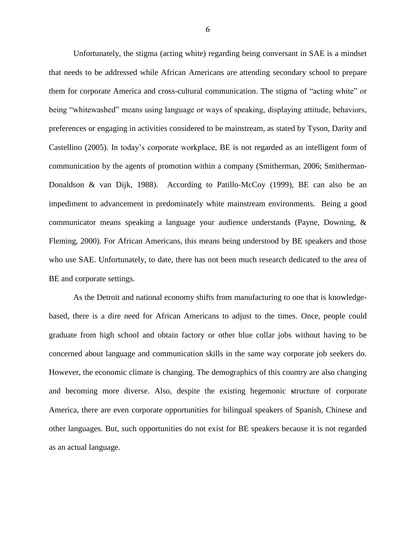Unfortunately, the stigma (acting white) regarding being conversant in SAE is a mindset that needs to be addressed while African Americans are attending secondary school to prepare them for corporate America and cross-cultural communication. The stigma of "acting white" or being "whitewashed" means using language or ways of speaking, displaying attitude, behaviors, preferences or engaging in activities considered to be mainstream, as stated by Tyson, Darity and Castellino (2005). In today"s corporate workplace, BE is not regarded as an intelligent form of communication by the agents of promotion within a company (Smitherman, 2006; Smitherman-Donaldson & van Dijk, 1988). According to Patillo-McCoy (1999), BE can also be an impediment to advancement in predominately white mainstream environments. Being a good communicator means speaking a language your audience understands (Payne, Downing, & Fleming, 2000). For African Americans, this means being understood by BE speakers and those who use SAE. Unfortunately, to date, there has not been much research dedicated to the area of BE and corporate settings.

As the Detroit and national economy shifts from manufacturing to one that is knowledgebased, there is a dire need for African Americans to adjust to the times. Once, people could graduate from high school and obtain factory or other blue collar jobs without having to be concerned about language and communication skills in the same way corporate job seekers do. However, the economic climate is changing. The demographics of this country are also changing and becoming more diverse. Also, despite the existing hegemonic **s**tructure of corporate America, there are even corporate opportunities for bilingual speakers of Spanish, Chinese and other languages. But, such opportunities do not exist for BE speakers because it is not regarded as an actual language.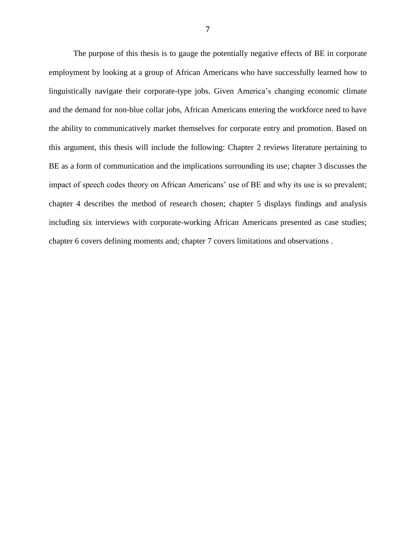The purpose of this thesis is to gauge the potentially negative effects of BE in corporate employment by looking at a group of African Americans who have successfully learned how to linguistically navigate their corporate-type jobs. Given America"s changing economic climate and the demand for non-blue collar jobs, African Americans entering the workforce need to have the ability to communicatively market themselves for corporate entry and promotion. Based on this argument, this thesis will include the following: Chapter 2 reviews literature pertaining to BE as a form of communication and the implications surrounding its use; chapter 3 discusses the impact of speech codes theory on African Americans' use of BE and why its use is so prevalent; chapter 4 describes the method of research chosen; chapter 5 displays findings and analysis including six interviews with corporate-working African Americans presented as case studies; chapter 6 covers defining moments and; chapter 7 covers limitations and observations .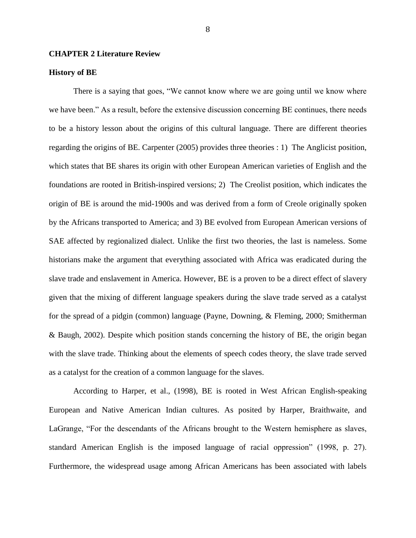#### **CHAPTER 2 Literature Review**

#### **History of BE**

There is a saying that goes, "We cannot know where we are going until we know where we have been." As a result, before the extensive discussion concerning BE continues, there needs to be a history lesson about the origins of this cultural language. There are different theories regarding the origins of BE. Carpenter (2005) provides three theories : 1) The Anglicist position, which states that BE shares its origin with other European American varieties of English and the foundations are rooted in British-inspired versions; 2) The Creolist position, which indicates the origin of BE is around the mid-1900s and was derived from a form of Creole originally spoken by the Africans transported to America; and 3) BE evolved from European American versions of SAE affected by regionalized dialect. Unlike the first two theories, the last is nameless. Some historians make the argument that everything associated with Africa was eradicated during the slave trade and enslavement in America. However, BE is a proven to be a direct effect of slavery given that the mixing of different language speakers during the slave trade served as a catalyst for the spread of a pidgin (common) language (Payne, Downing, & Fleming, 2000; Smitherman & Baugh, 2002). Despite which position stands concerning the history of BE, the origin began with the slave trade. Thinking about the elements of speech codes theory, the slave trade served as a catalyst for the creation of a common language for the slaves.

According to Harper, et al., (1998), BE is rooted in West African English-speaking European and Native American Indian cultures. As posited by Harper, Braithwaite, and LaGrange, "For the descendants of the Africans brought to the Western hemisphere as slaves, standard American English is the imposed language of racial oppression" (1998, p. 27). Furthermore, the widespread usage among African Americans has been associated with labels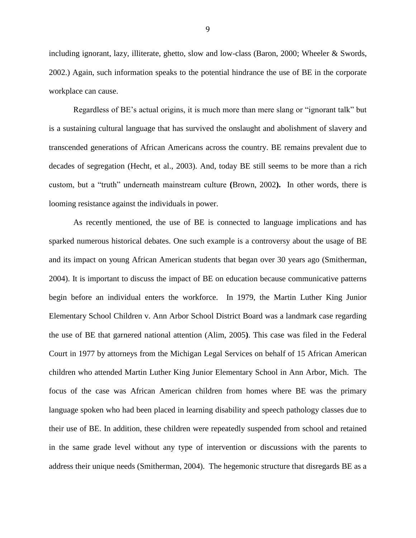including ignorant, lazy, illiterate, ghetto, slow and low-class (Baron, 2000; Wheeler & Swords, 2002.) Again, such information speaks to the potential hindrance the use of BE in the corporate workplace can cause.

Regardless of BE"s actual origins, it is much more than mere slang or "ignorant talk" but is a sustaining cultural language that has survived the onslaught and abolishment of slavery and transcended generations of African Americans across the country. BE remains prevalent due to decades of segregation (Hecht, et al., 2003). And, today BE still seems to be more than a rich custom, but a "truth" underneath mainstream culture **(**Brown, 2002**).** In other words, there is looming resistance against the individuals in power.

As recently mentioned, the use of BE is connected to language implications and has sparked numerous historical debates. One such example is a controversy about the usage of BE and its impact on young African American students that began over 30 years ago (Smitherman, 2004). It is important to discuss the impact of BE on education because communicative patterns begin before an individual enters the workforce. In 1979, the Martin Luther King Junior Elementary School Children v. Ann Arbor School District Board was a landmark case regarding the use of BE that garnered national attention (Alim, 2005**)**. This case was filed in the Federal Court in 1977 by attorneys from the Michigan Legal Services on behalf of 15 African American children who attended Martin Luther King Junior Elementary School in Ann Arbor, Mich. The focus of the case was African American children from homes where BE was the primary language spoken who had been placed in learning disability and speech pathology classes due to their use of BE. In addition, these children were repeatedly suspended from school and retained in the same grade level without any type of intervention or discussions with the parents to address their unique needs (Smitherman, 2004). The hegemonic structure that disregards BE as a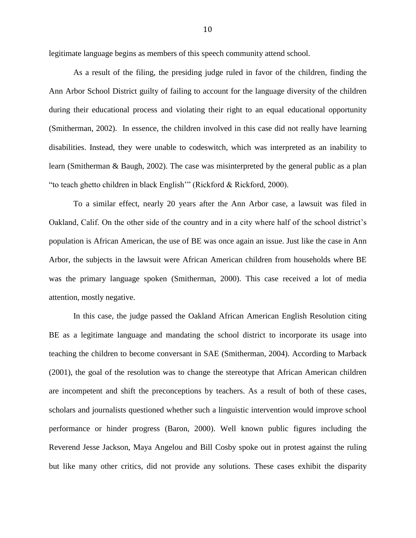legitimate language begins as members of this speech community attend school.

As a result of the filing, the presiding judge ruled in favor of the children, finding the Ann Arbor School District guilty of failing to account for the language diversity of the children during their educational process and violating their right to an equal educational opportunity (Smitherman, 2002). In essence, the children involved in this case did not really have learning disabilities. Instead, they were unable to codeswitch, which was interpreted as an inability to learn (Smitherman & Baugh, 2002). The case was misinterpreted by the general public as a plan "to teach ghetto children in black English"" (Rickford & Rickford, 2000).

To a similar effect, nearly 20 years after the Ann Arbor case, a lawsuit was filed in Oakland, Calif. On the other side of the country and in a city where half of the school district"s population is African American, the use of BE was once again an issue. Just like the case in Ann Arbor, the subjects in the lawsuit were African American children from households where BE was the primary language spoken (Smitherman, 2000). This case received a lot of media attention, mostly negative.

In this case, the judge passed the Oakland African American English Resolution citing BE as a legitimate language and mandating the school district to incorporate its usage into teaching the children to become conversant in SAE (Smitherman, 2004). According to Marback (2001), the goal of the resolution was to change the stereotype that African American children are incompetent and shift the preconceptions by teachers. As a result of both of these cases, scholars and journalists questioned whether such a linguistic intervention would improve school performance or hinder progress (Baron, 2000). Well known public figures including the Reverend Jesse Jackson, Maya Angelou and Bill Cosby spoke out in protest against the ruling but like many other critics, did not provide any solutions. These cases exhibit the disparity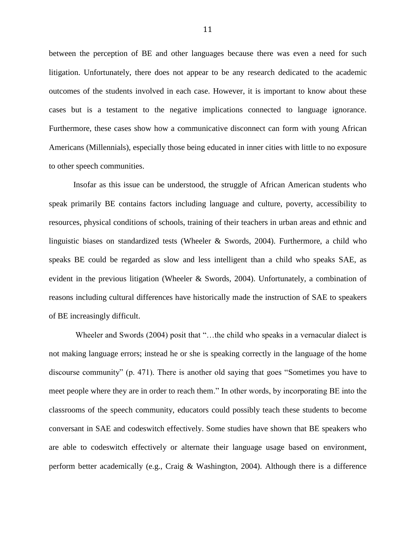between the perception of BE and other languages because there was even a need for such litigation. Unfortunately, there does not appear to be any research dedicated to the academic outcomes of the students involved in each case. However, it is important to know about these cases but is a testament to the negative implications connected to language ignorance. Furthermore, these cases show how a communicative disconnect can form with young African Americans (Millennials), especially those being educated in inner cities with little to no exposure to other speech communities.

Insofar as this issue can be understood, the struggle of African American students who speak primarily BE contains factors including language and culture, poverty, accessibility to resources, physical conditions of schools, training of their teachers in urban areas and ethnic and linguistic biases on standardized tests (Wheeler & Swords, 2004). Furthermore, a child who speaks BE could be regarded as slow and less intelligent than a child who speaks SAE, as evident in the previous litigation (Wheeler & Swords, 2004). Unfortunately, a combination of reasons including cultural differences have historically made the instruction of SAE to speakers of BE increasingly difficult.

Wheeler and Swords (2004) posit that "...the child who speaks in a vernacular dialect is not making language errors; instead he or she is speaking correctly in the language of the home discourse community" (p. 471). There is another old saying that goes "Sometimes you have to meet people where they are in order to reach them." In other words, by incorporating BE into the classrooms of the speech community, educators could possibly teach these students to become conversant in SAE and codeswitch effectively. Some studies have shown that BE speakers who are able to codeswitch effectively or alternate their language usage based on environment, perform better academically (e.g., Craig & Washington, 2004). Although there is a difference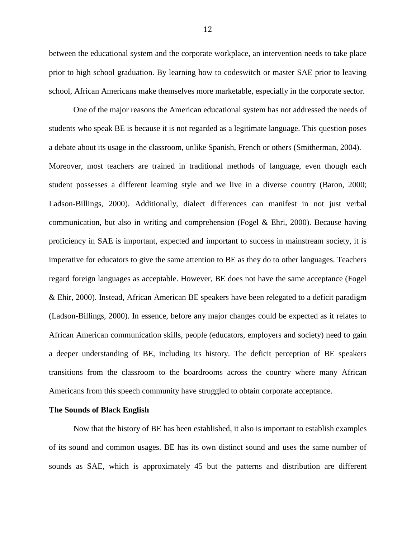between the educational system and the corporate workplace, an intervention needs to take place prior to high school graduation. By learning how to codeswitch or master SAE prior to leaving school, African Americans make themselves more marketable, especially in the corporate sector.

One of the major reasons the American educational system has not addressed the needs of students who speak BE is because it is not regarded as a legitimate language. This question poses a debate about its usage in the classroom, unlike Spanish, French or others (Smitherman, 2004). Moreover, most teachers are trained in traditional methods of language, even though each student possesses a different learning style and we live in a diverse country (Baron, 2000; Ladson-Billings, 2000). Additionally, dialect differences can manifest in not just verbal communication, but also in writing and comprehension (Fogel  $\&$  Ehri, 2000). Because having proficiency in SAE is important, expected and important to success in mainstream society, it is imperative for educators to give the same attention to BE as they do to other languages. Teachers regard foreign languages as acceptable. However, BE does not have the same acceptance (Fogel & Ehir, 2000). Instead, African American BE speakers have been relegated to a deficit paradigm (Ladson-Billings, 2000). In essence, before any major changes could be expected as it relates to African American communication skills, people (educators, employers and society) need to gain a deeper understanding of BE, including its history. The deficit perception of BE speakers transitions from the classroom to the boardrooms across the country where many African Americans from this speech community have struggled to obtain corporate acceptance.

#### **The Sounds of Black English**

Now that the history of BE has been established, it also is important to establish examples of its sound and common usages. BE has its own distinct sound and uses the same number of sounds as SAE, which is approximately 45 but the patterns and distribution are different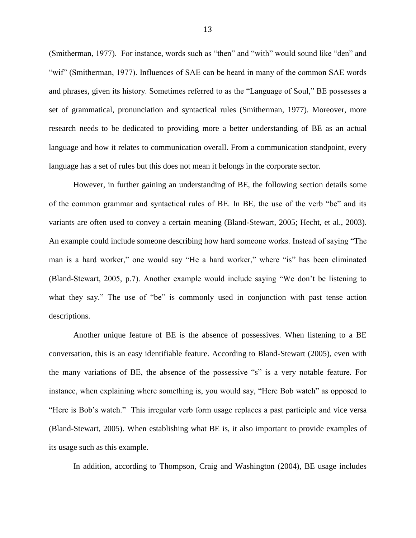(Smitherman, 1977). For instance, words such as "then" and "with" would sound like "den" and "wif" (Smitherman, 1977). Influences of SAE can be heard in many of the common SAE words and phrases, given its history. Sometimes referred to as the "Language of Soul," BE possesses a set of grammatical, pronunciation and syntactical rules (Smitherman, 1977). Moreover, more research needs to be dedicated to providing more a better understanding of BE as an actual language and how it relates to communication overall. From a communication standpoint, every language has a set of rules but this does not mean it belongs in the corporate sector.

However, in further gaining an understanding of BE, the following section details some of the common grammar and syntactical rules of BE. In BE, the use of the verb "be" and its variants are often used to convey a certain meaning (Bland-Stewart, 2005; Hecht, et al., 2003). An example could include someone describing how hard someone works. Instead of saying "The man is a hard worker," one would say "He a hard worker," where "is" has been eliminated (Bland-Stewart, 2005, p.7). Another example would include saying "We don"t be listening to what they say." The use of "be" is commonly used in conjunction with past tense action descriptions.

Another unique feature of BE is the absence of possessives. When listening to a BE conversation, this is an easy identifiable feature. According to Bland-Stewart (2005), even with the many variations of BE, the absence of the possessive "s" is a very notable feature. For instance, when explaining where something is, you would say, "Here Bob watch" as opposed to "Here is Bob"s watch." This irregular verb form usage replaces a past participle and vice versa (Bland-Stewart, 2005). When establishing what BE is, it also important to provide examples of its usage such as this example.

In addition, according to Thompson, Craig and Washington (2004), BE usage includes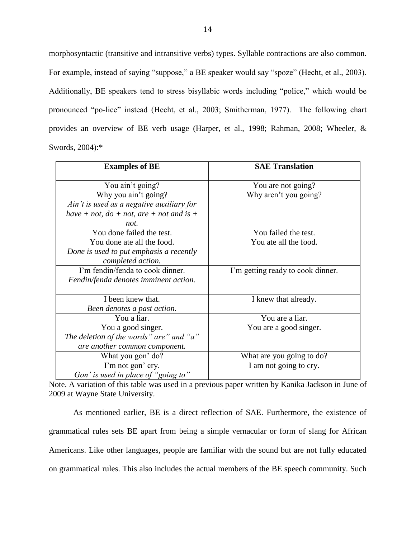morphosyntactic (transitive and intransitive verbs) types. Syllable contractions are also common. For example, instead of saying "suppose," a BE speaker would say "spoze" (Hecht, et al., 2003). Additionally, BE speakers tend to stress bisyllabic words including "police," which would be pronounced "po-lice" instead (Hecht, et al., 2003; Smitherman, 1977). The following chart provides an overview of BE verb usage (Harper, et al., 1998; Rahman, 2008; Wheeler, & Swords, 2004):\*

| <b>Examples of BE</b>                       | <b>SAE Translation</b>            |
|---------------------------------------------|-----------------------------------|
| You ain't going?                            | You are not going?                |
| Why you ain't going?                        | Why aren't you going?             |
| Ain't is used as a negative auxiliary for   |                                   |
| have + not, $do + not$ , are + not and is + |                                   |
| not.                                        |                                   |
| You done failed the test.                   | You failed the test.              |
| You done ate all the food.                  | You ate all the food.             |
| Done is used to put emphasis a recently     |                                   |
| completed action.                           |                                   |
| I'm fendin/fenda to cook dinner.            | I'm getting ready to cook dinner. |
| Fendin/fenda denotes imminent action.       |                                   |
|                                             |                                   |
| I been knew that.                           | I knew that already.              |
| Been denotes a past action.                 |                                   |
| You a liar.                                 | You are a liar.                   |
| You a good singer.                          | You are a good singer.            |
| The deletion of the words" are" and "a"     |                                   |
| are another common component.               |                                   |
| What you gon' do?                           | What are you going to do?         |
| I'm not gon' cry.                           | I am not going to cry.            |
| Gon' is used in place of "going to"         |                                   |

Note. A variation of this table was used in a previous paper written by Kanika Jackson in June of 2009 at Wayne State University.

As mentioned earlier, BE is a direct reflection of SAE. Furthermore, the existence of grammatical rules sets BE apart from being a simple vernacular or form of slang for African Americans. Like other languages, people are familiar with the sound but are not fully educated on grammatical rules. This also includes the actual members of the BE speech community. Such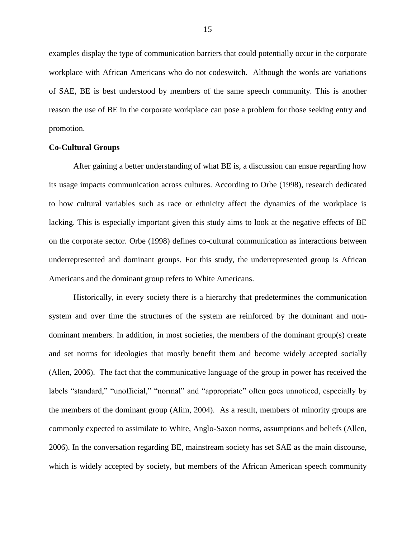examples display the type of communication barriers that could potentially occur in the corporate workplace with African Americans who do not codeswitch. Although the words are variations of SAE, BE is best understood by members of the same speech community. This is another reason the use of BE in the corporate workplace can pose a problem for those seeking entry and promotion.

#### **Co-Cultural Groups**

After gaining a better understanding of what BE is, a discussion can ensue regarding how its usage impacts communication across cultures. According to Orbe (1998), research dedicated to how cultural variables such as race or ethnicity affect the dynamics of the workplace is lacking. This is especially important given this study aims to look at the negative effects of BE on the corporate sector. Orbe (1998) defines co-cultural communication as interactions between underrepresented and dominant groups. For this study, the underrepresented group is African Americans and the dominant group refers to White Americans.

Historically, in every society there is a hierarchy that predetermines the communication system and over time the structures of the system are reinforced by the dominant and nondominant members. In addition, in most societies, the members of the dominant group(s) create and set norms for ideologies that mostly benefit them and become widely accepted socially (Allen, 2006). The fact that the communicative language of the group in power has received the labels "standard," "unofficial," "normal" and "appropriate" often goes unnoticed, especially by the members of the dominant group (Alim, 2004). As a result, members of minority groups are commonly expected to assimilate to White, Anglo-Saxon norms, assumptions and beliefs (Allen, 2006). In the conversation regarding BE, mainstream society has set SAE as the main discourse, which is widely accepted by society, but members of the African American speech community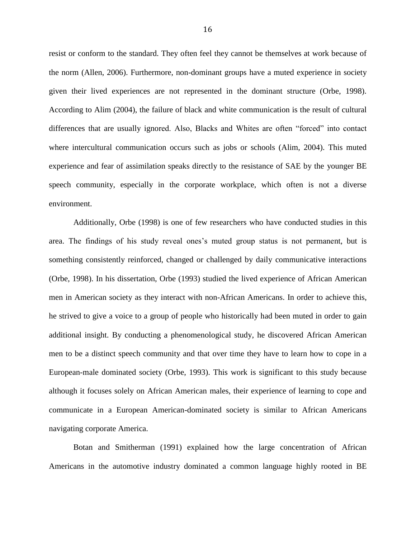resist or conform to the standard. They often feel they cannot be themselves at work because of the norm (Allen, 2006). Furthermore, non-dominant groups have a muted experience in society given their lived experiences are not represented in the dominant structure (Orbe, 1998). According to Alim (2004), the failure of black and white communication is the result of cultural differences that are usually ignored. Also, Blacks and Whites are often "forced" into contact where intercultural communication occurs such as jobs or schools (Alim, 2004). This muted experience and fear of assimilation speaks directly to the resistance of SAE by the younger BE speech community, especially in the corporate workplace, which often is not a diverse environment.

Additionally, Orbe (1998) is one of few researchers who have conducted studies in this area. The findings of his study reveal ones"s muted group status is not permanent, but is something consistently reinforced, changed or challenged by daily communicative interactions (Orbe, 1998). In his dissertation, Orbe (1993) studied the lived experience of African American men in American society as they interact with non-African Americans. In order to achieve this, he strived to give a voice to a group of people who historically had been muted in order to gain additional insight. By conducting a phenomenological study, he discovered African American men to be a distinct speech community and that over time they have to learn how to cope in a European-male dominated society (Orbe, 1993). This work is significant to this study because although it focuses solely on African American males, their experience of learning to cope and communicate in a European American-dominated society is similar to African Americans navigating corporate America.

Botan and Smitherman (1991) explained how the large concentration of African Americans in the automotive industry dominated a common language highly rooted in BE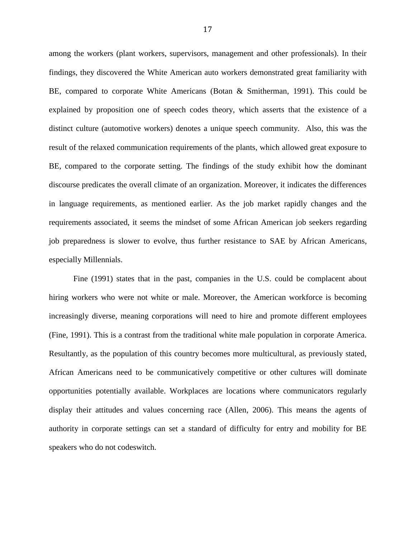among the workers (plant workers, supervisors, management and other professionals). In their findings, they discovered the White American auto workers demonstrated great familiarity with BE, compared to corporate White Americans (Botan & Smitherman, 1991). This could be explained by proposition one of speech codes theory, which asserts that the existence of a distinct culture (automotive workers) denotes a unique speech community. Also, this was the result of the relaxed communication requirements of the plants, which allowed great exposure to BE, compared to the corporate setting. The findings of the study exhibit how the dominant discourse predicates the overall climate of an organization. Moreover, it indicates the differences in language requirements, as mentioned earlier. As the job market rapidly changes and the requirements associated, it seems the mindset of some African American job seekers regarding job preparedness is slower to evolve, thus further resistance to SAE by African Americans, especially Millennials.

Fine (1991) states that in the past, companies in the U.S. could be complacent about hiring workers who were not white or male. Moreover, the American workforce is becoming increasingly diverse, meaning corporations will need to hire and promote different employees (Fine, 1991). This is a contrast from the traditional white male population in corporate America. Resultantly, as the population of this country becomes more multicultural, as previously stated, African Americans need to be communicatively competitive or other cultures will dominate opportunities potentially available. Workplaces are locations where communicators regularly display their attitudes and values concerning race (Allen, 2006). This means the agents of authority in corporate settings can set a standard of difficulty for entry and mobility for BE speakers who do not codeswitch.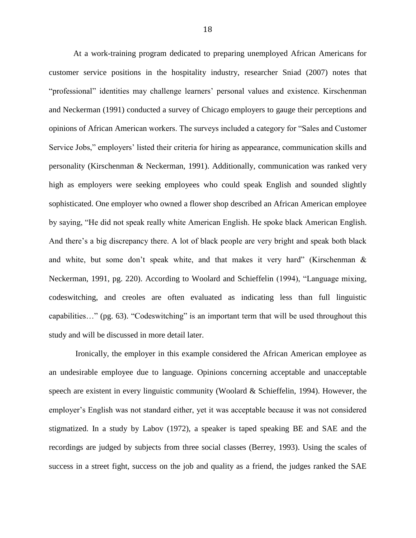At a work-training program dedicated to preparing unemployed African Americans for customer service positions in the hospitality industry, researcher Sniad (2007) notes that "professional" identities may challenge learners" personal values and existence. Kirschenman and Neckerman (1991) conducted a survey of Chicago employers to gauge their perceptions and opinions of African American workers. The surveys included a category for "Sales and Customer Service Jobs," employers' listed their criteria for hiring as appearance, communication skills and personality (Kirschenman & Neckerman, 1991). Additionally, communication was ranked very high as employers were seeking employees who could speak English and sounded slightly sophisticated. One employer who owned a flower shop described an African American employee by saying, "He did not speak really white American English. He spoke black American English. And there's a big discrepancy there. A lot of black people are very bright and speak both black and white, but some don't speak white, and that makes it very hard" (Kirschenman  $\&$ Neckerman, 1991, pg. 220). According to Woolard and Schieffelin (1994), "Language mixing, codeswitching, and creoles are often evaluated as indicating less than full linguistic capabilities…" (pg. 63). "Codeswitching" is an important term that will be used throughout this study and will be discussed in more detail later.

Ironically, the employer in this example considered the African American employee as an undesirable employee due to language. Opinions concerning acceptable and unacceptable speech are existent in every linguistic community (Woolard & Schieffelin, 1994). However, the employer"s English was not standard either, yet it was acceptable because it was not considered stigmatized. In a study by Labov (1972), a speaker is taped speaking BE and SAE and the recordings are judged by subjects from three social classes (Berrey, 1993). Using the scales of success in a street fight, success on the job and quality as a friend, the judges ranked the SAE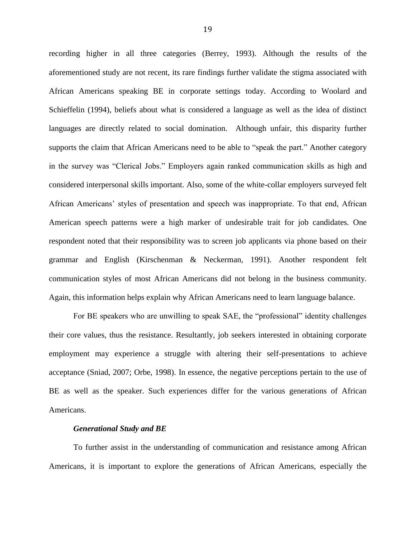recording higher in all three categories (Berrey, 1993). Although the results of the aforementioned study are not recent, its rare findings further validate the stigma associated with African Americans speaking BE in corporate settings today. According to Woolard and Schieffelin (1994), beliefs about what is considered a language as well as the idea of distinct languages are directly related to social domination. Although unfair, this disparity further supports the claim that African Americans need to be able to "speak the part." Another category in the survey was "Clerical Jobs." Employers again ranked communication skills as high and considered interpersonal skills important. Also, some of the white-collar employers surveyed felt African Americans" styles of presentation and speech was inappropriate. To that end, African American speech patterns were a high marker of undesirable trait for job candidates. One respondent noted that their responsibility was to screen job applicants via phone based on their grammar and English (Kirschenman & Neckerman, 1991). Another respondent felt communication styles of most African Americans did not belong in the business community. Again, this information helps explain why African Americans need to learn language balance.

For BE speakers who are unwilling to speak SAE, the "professional" identity challenges their core values, thus the resistance. Resultantly, job seekers interested in obtaining corporate employment may experience a struggle with altering their self-presentations to achieve acceptance (Sniad, 2007; Orbe, 1998). In essence, the negative perceptions pertain to the use of BE as well as the speaker. Such experiences differ for the various generations of African Americans.

#### *Generational Study and BE*

To further assist in the understanding of communication and resistance among African Americans, it is important to explore the generations of African Americans, especially the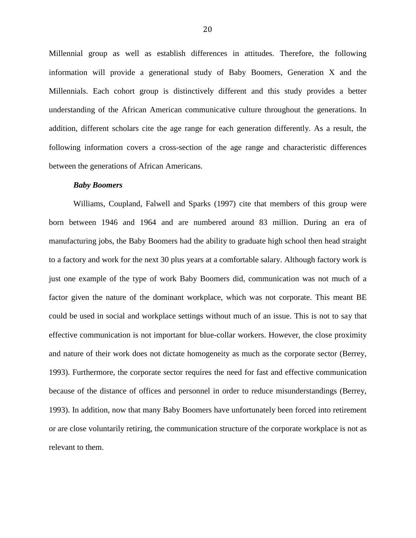Millennial group as well as establish differences in attitudes. Therefore, the following information will provide a generational study of Baby Boomers, Generation X and the Millennials. Each cohort group is distinctively different and this study provides a better understanding of the African American communicative culture throughout the generations. In addition, different scholars cite the age range for each generation differently. As a result, the following information covers a cross-section of the age range and characteristic differences between the generations of African Americans.

#### *Baby Boomers*

Williams, Coupland, Falwell and Sparks (1997) cite that members of this group were born between 1946 and 1964 and are numbered around 83 million. During an era of manufacturing jobs, the Baby Boomers had the ability to graduate high school then head straight to a factory and work for the next 30 plus years at a comfortable salary. Although factory work is just one example of the type of work Baby Boomers did, communication was not much of a factor given the nature of the dominant workplace, which was not corporate. This meant BE could be used in social and workplace settings without much of an issue. This is not to say that effective communication is not important for blue-collar workers. However, the close proximity and nature of their work does not dictate homogeneity as much as the corporate sector (Berrey, 1993). Furthermore, the corporate sector requires the need for fast and effective communication because of the distance of offices and personnel in order to reduce misunderstandings (Berrey, 1993). In addition, now that many Baby Boomers have unfortunately been forced into retirement or are close voluntarily retiring, the communication structure of the corporate workplace is not as relevant to them.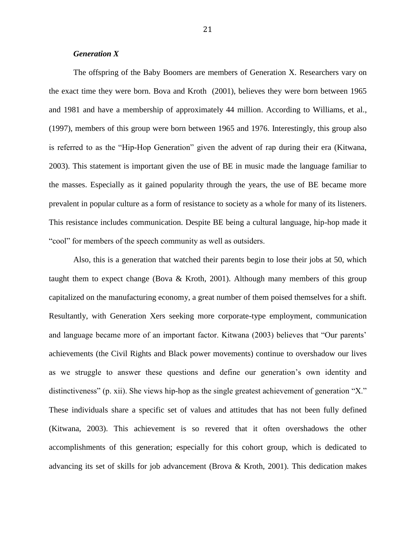#### *Generation X*

The offspring of the Baby Boomers are members of Generation X. Researchers vary on the exact time they were born. Bova and Kroth (2001), believes they were born between 1965 and 1981 and have a membership of approximately 44 million. According to Williams, et al., (1997), members of this group were born between 1965 and 1976. Interestingly, this group also is referred to as the "Hip-Hop Generation" given the advent of rap during their era (Kitwana, 2003). This statement is important given the use of BE in music made the language familiar to the masses. Especially as it gained popularity through the years, the use of BE became more prevalent in popular culture as a form of resistance to society as a whole for many of its listeners. This resistance includes communication. Despite BE being a cultural language, hip-hop made it "cool" for members of the speech community as well as outsiders.

Also, this is a generation that watched their parents begin to lose their jobs at 50, which taught them to expect change (Bova & Kroth, 2001). Although many members of this group capitalized on the manufacturing economy, a great number of them poised themselves for a shift. Resultantly, with Generation Xers seeking more corporate-type employment, communication and language became more of an important factor. Kitwana (2003) believes that "Our parents" achievements (the Civil Rights and Black power movements) continue to overshadow our lives as we struggle to answer these questions and define our generation"s own identity and distinctiveness" (p. xii). She views hip-hop as the single greatest achievement of generation "X." These individuals share a specific set of values and attitudes that has not been fully defined (Kitwana, 2003). This achievement is so revered that it often overshadows the other accomplishments of this generation; especially for this cohort group, which is dedicated to advancing its set of skills for job advancement (Brova & Kroth, 2001). This dedication makes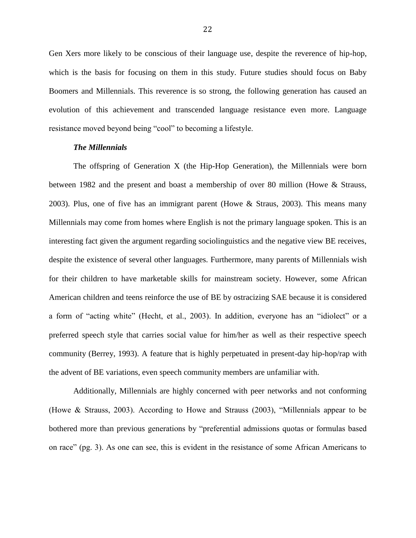Gen Xers more likely to be conscious of their language use, despite the reverence of hip-hop, which is the basis for focusing on them in this study. Future studies should focus on Baby Boomers and Millennials. This reverence is so strong, the following generation has caused an evolution of this achievement and transcended language resistance even more. Language resistance moved beyond being "cool" to becoming a lifestyle.

#### *The Millennials*

The offspring of Generation X (the Hip-Hop Generation), the Millennials were born between 1982 and the present and boast a membership of over 80 million (Howe & Strauss, 2003). Plus, one of five has an immigrant parent (Howe & Straus, 2003). This means many Millennials may come from homes where English is not the primary language spoken. This is an interesting fact given the argument regarding sociolinguistics and the negative view BE receives, despite the existence of several other languages. Furthermore, many parents of Millennials wish for their children to have marketable skills for mainstream society. However, some African American children and teens reinforce the use of BE by ostracizing SAE because it is considered a form of "acting white" (Hecht, et al., 2003). In addition, everyone has an "idiolect" or a preferred speech style that carries social value for him/her as well as their respective speech community (Berrey, 1993). A feature that is highly perpetuated in present-day hip-hop/rap with the advent of BE variations, even speech community members are unfamiliar with.

Additionally, Millennials are highly concerned with peer networks and not conforming (Howe & Strauss, 2003). According to Howe and Strauss (2003), "Millennials appear to be bothered more than previous generations by "preferential admissions quotas or formulas based on race" (pg. 3). As one can see, this is evident in the resistance of some African Americans to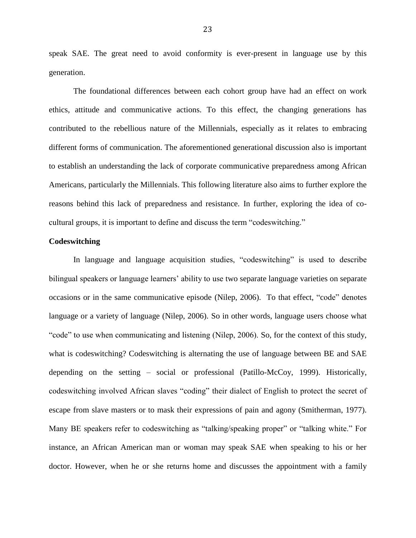speak SAE. The great need to avoid conformity is ever-present in language use by this generation.

The foundational differences between each cohort group have had an effect on work ethics, attitude and communicative actions. To this effect, the changing generations has contributed to the rebellious nature of the Millennials, especially as it relates to embracing different forms of communication. The aforementioned generational discussion also is important to establish an understanding the lack of corporate communicative preparedness among African Americans, particularly the Millennials. This following literature also aims to further explore the reasons behind this lack of preparedness and resistance. In further, exploring the idea of cocultural groups, it is important to define and discuss the term "codeswitching."

#### **Codeswitching**

In language and language acquisition studies, "codeswitching" is used to describe bilingual speakers or language learners' ability to use two separate language varieties on separate occasions or in the same communicative episode (Nilep, 2006). To that effect, "code" denotes language or a variety of language (Nilep, 2006). So in other words, language users choose what "code" to use when communicating and listening (Nilep, 2006). So, for the context of this study, what is codeswitching? Codeswitching is alternating the use of language between BE and SAE depending on the setting – social or professional (Patillo-McCoy, 1999). Historically, codeswitching involved African slaves "coding" their dialect of English to protect the secret of escape from slave masters or to mask their expressions of pain and agony (Smitherman, 1977). Many BE speakers refer to codeswitching as "talking/speaking proper" or "talking white." For instance, an African American man or woman may speak SAE when speaking to his or her doctor. However, when he or she returns home and discusses the appointment with a family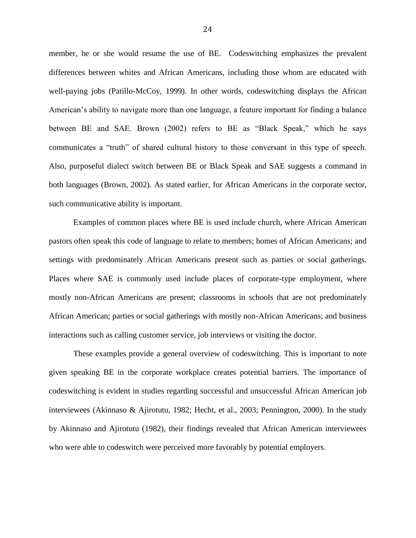member, he or she would resume the use of BE. Codeswitching emphasizes the prevalent differences between whites and African Americans, including those whom are educated with well-paying jobs (Patillo-McCoy, 1999). In other words, codeswitching displays the African American"s ability to navigate more than one language, a feature important for finding a balance between BE and SAE. Brown (2002) refers to BE as "Black Speak," which he says communicates a "truth" of shared cultural history to those conversant in this type of speech. Also, purposeful dialect switch between BE or Black Speak and SAE suggests a command in both languages (Brown, 2002). As stated earlier, for African Americans in the corporate sector, such communicative ability is important.

Examples of common places where BE is used include church, where African American pastors often speak this code of language to relate to members; homes of African Americans; and settings with predominately African Americans present such as parties or social gatherings. Places where SAE is commonly used include places of corporate-type employment, where mostly non-African Americans are present; classrooms in schools that are not predominately African American; parties or social gatherings with mostly non-African Americans; and business interactions such as calling customer service, job interviews or visiting the doctor.

These examples provide a general overview of codeswitching. This is important to note given speaking BE in the corporate workplace creates potential barriers. The importance of codeswitching is evident in studies regarding successful and unsuccessful African American job interviewees (Akinnaso & Ajirotutu, 1982; Hecht, et al., 2003; Pennington, 2000). In the study by Akinnaso and Ajirotutu (1982), their findings revealed that African American interviewees who were able to codeswitch were perceived more favorably by potential employers.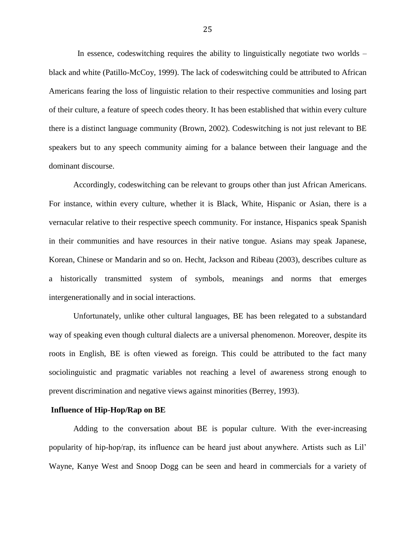In essence, codeswitching requires the ability to linguistically negotiate two worlds – black and white (Patillo-McCoy, 1999). The lack of codeswitching could be attributed to African Americans fearing the loss of linguistic relation to their respective communities and losing part of their culture, a feature of speech codes theory. It has been established that within every culture there is a distinct language community (Brown, 2002). Codeswitching is not just relevant to BE speakers but to any speech community aiming for a balance between their language and the dominant discourse.

Accordingly, codeswitching can be relevant to groups other than just African Americans. For instance, within every culture, whether it is Black, White, Hispanic or Asian, there is a vernacular relative to their respective speech community. For instance, Hispanics speak Spanish in their communities and have resources in their native tongue. Asians may speak Japanese, Korean, Chinese or Mandarin and so on. Hecht, Jackson and Ribeau (2003), describes culture as a historically transmitted system of symbols, meanings and norms that emerges intergenerationally and in social interactions.

Unfortunately, unlike other cultural languages, BE has been relegated to a substandard way of speaking even though cultural dialects are a universal phenomenon. Moreover, despite its roots in English, BE is often viewed as foreign. This could be attributed to the fact many sociolinguistic and pragmatic variables not reaching a level of awareness strong enough to prevent discrimination and negative views against minorities (Berrey, 1993).

#### **Influence of Hip-Hop/Rap on BE**

Adding to the conversation about BE is popular culture. With the ever-increasing popularity of hip-hop/rap, its influence can be heard just about anywhere. Artists such as Lil" Wayne, Kanye West and Snoop Dogg can be seen and heard in commercials for a variety of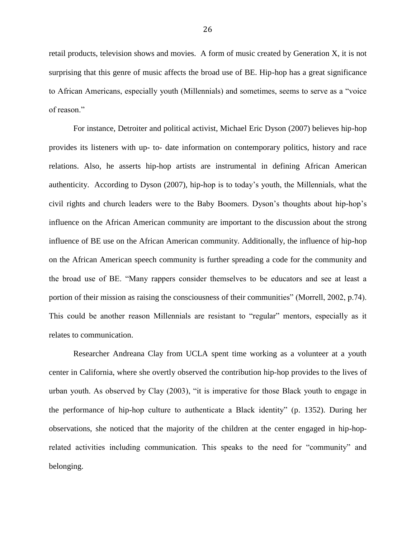retail products, television shows and movies. A form of music created by Generation X, it is not surprising that this genre of music affects the broad use of BE. Hip-hop has a great significance to African Americans, especially youth (Millennials) and sometimes, seems to serve as a "voice of reason."

For instance, Detroiter and political activist, Michael Eric Dyson (2007) believes hip-hop provides its listeners with up- to- date information on contemporary politics, history and race relations. Also, he asserts hip-hop artists are instrumental in defining African American authenticity. According to Dyson (2007), hip-hop is to today"s youth, the Millennials, what the civil rights and church leaders were to the Baby Boomers. Dyson"s thoughts about hip-hop"s influence on the African American community are important to the discussion about the strong influence of BE use on the African American community. Additionally, the influence of hip-hop on the African American speech community is further spreading a code for the community and the broad use of BE. "Many rappers consider themselves to be educators and see at least a portion of their mission as raising the consciousness of their communities" (Morrell, 2002, p.74). This could be another reason Millennials are resistant to "regular" mentors, especially as it relates to communication.

Researcher Andreana Clay from UCLA spent time working as a volunteer at a youth center in California, where she overtly observed the contribution hip-hop provides to the lives of urban youth. As observed by Clay (2003), "it is imperative for those Black youth to engage in the performance of hip-hop culture to authenticate a Black identity" (p. 1352). During her observations, she noticed that the majority of the children at the center engaged in hip-hoprelated activities including communication. This speaks to the need for "community" and belonging.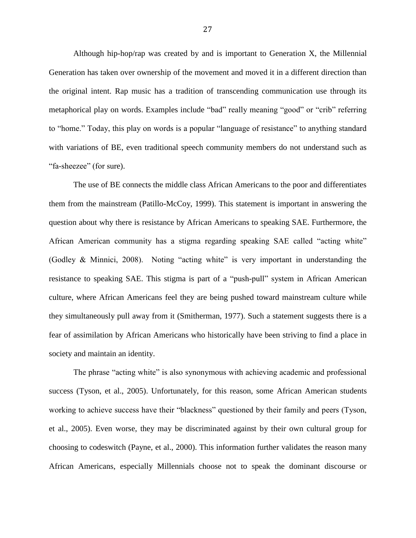Although hip-hop/rap was created by and is important to Generation X, the Millennial Generation has taken over ownership of the movement and moved it in a different direction than the original intent. Rap music has a tradition of transcending communication use through its metaphorical play on words. Examples include "bad" really meaning "good" or "crib" referring to "home." Today, this play on words is a popular "language of resistance" to anything standard with variations of BE, even traditional speech community members do not understand such as "fa-sheezee" (for sure).

The use of BE connects the middle class African Americans to the poor and differentiates them from the mainstream (Patillo-McCoy, 1999). This statement is important in answering the question about why there is resistance by African Americans to speaking SAE. Furthermore, the African American community has a stigma regarding speaking SAE called "acting white" (Godley & Minnici, 2008). Noting "acting white" is very important in understanding the resistance to speaking SAE. This stigma is part of a "push-pull" system in African American culture, where African Americans feel they are being pushed toward mainstream culture while they simultaneously pull away from it (Smitherman, 1977). Such a statement suggests there is a fear of assimilation by African Americans who historically have been striving to find a place in society and maintain an identity.

The phrase "acting white" is also synonymous with achieving academic and professional success (Tyson, et al., 2005). Unfortunately, for this reason, some African American students working to achieve success have their "blackness" questioned by their family and peers (Tyson, et al., 2005). Even worse, they may be discriminated against by their own cultural group for choosing to codeswitch (Payne, et al., 2000). This information further validates the reason many African Americans, especially Millennials choose not to speak the dominant discourse or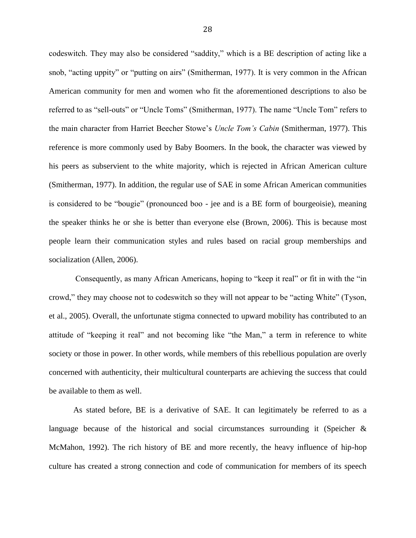codeswitch. They may also be considered "saddity," which is a BE description of acting like a snob, "acting uppity" or "putting on airs" (Smitherman, 1977). It is very common in the African American community for men and women who fit the aforementioned descriptions to also be referred to as "sell-outs" or "Uncle Toms" (Smitherman, 1977). The name "Uncle Tom" refers to the main character from Harriet Beecher Stowe"s *Uncle Tom's Cabin* (Smitherman, 1977). This reference is more commonly used by Baby Boomers. In the book, the character was viewed by his peers as subservient to the white majority, which is rejected in African American culture (Smitherman, 1977). In addition, the regular use of SAE in some African American communities is considered to be "bougie" (pronounced boo - jee and is a BE form of bourgeoisie), meaning the speaker thinks he or she is better than everyone else (Brown, 2006). This is because most people learn their communication styles and rules based on racial group memberships and socialization (Allen, 2006).

Consequently, as many African Americans, hoping to "keep it real" or fit in with the "in crowd," they may choose not to codeswitch so they will not appear to be "acting White" (Tyson, et al., 2005). Overall, the unfortunate stigma connected to upward mobility has contributed to an attitude of "keeping it real" and not becoming like "the Man," a term in reference to white society or those in power. In other words, while members of this rebellious population are overly concerned with authenticity, their multicultural counterparts are achieving the success that could be available to them as well.

As stated before, BE is a derivative of SAE. It can legitimately be referred to as a language because of the historical and social circumstances surrounding it (Speicher & McMahon, 1992). The rich history of BE and more recently, the heavy influence of hip-hop culture has created a strong connection and code of communication for members of its speech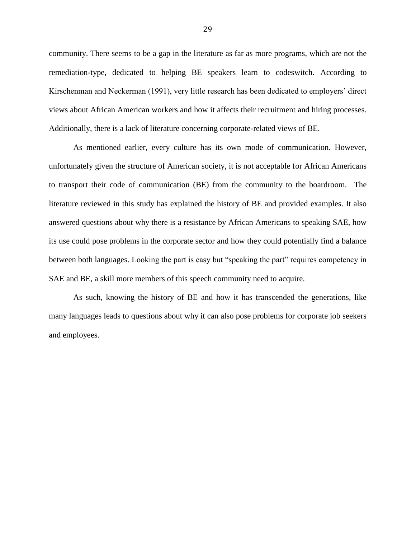community. There seems to be a gap in the literature as far as more programs, which are not the remediation-type, dedicated to helping BE speakers learn to codeswitch. According to Kirschenman and Neckerman (1991), very little research has been dedicated to employers" direct views about African American workers and how it affects their recruitment and hiring processes. Additionally, there is a lack of literature concerning corporate-related views of BE.

As mentioned earlier, every culture has its own mode of communication. However, unfortunately given the structure of American society, it is not acceptable for African Americans to transport their code of communication (BE) from the community to the boardroom. The literature reviewed in this study has explained the history of BE and provided examples. It also answered questions about why there is a resistance by African Americans to speaking SAE, how its use could pose problems in the corporate sector and how they could potentially find a balance between both languages. Looking the part is easy but "speaking the part" requires competency in SAE and BE, a skill more members of this speech community need to acquire.

As such, knowing the history of BE and how it has transcended the generations, like many languages leads to questions about why it can also pose problems for corporate job seekers and employees.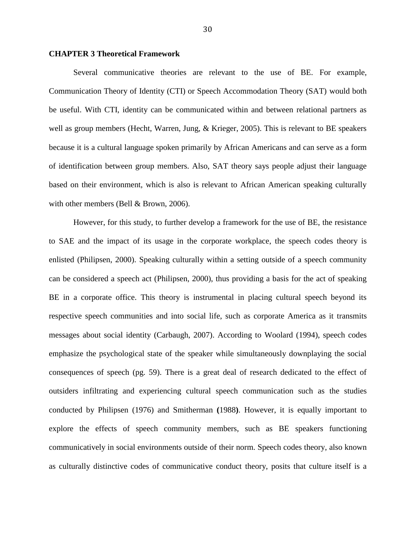#### **CHAPTER 3 Theoretical Framework**

Several communicative theories are relevant to the use of BE. For example, Communication Theory of Identity (CTI) or Speech Accommodation Theory (SAT) would both be useful. With CTI, identity can be communicated within and between relational partners as well as group members (Hecht, Warren, Jung, & Krieger, 2005). This is relevant to BE speakers because it is a cultural language spoken primarily by African Americans and can serve as a form of identification between group members. Also, SAT theory says people adjust their language based on their environment, which is also is relevant to African American speaking culturally with other members (Bell & Brown, 2006).

However, for this study, to further develop a framework for the use of BE, the resistance to SAE and the impact of its usage in the corporate workplace, the speech codes theory is enlisted (Philipsen, 2000). Speaking culturally within a setting outside of a speech community can be considered a speech act (Philipsen, 2000), thus providing a basis for the act of speaking BE in a corporate office. This theory is instrumental in placing cultural speech beyond its respective speech communities and into social life, such as corporate America as it transmits messages about social identity (Carbaugh, 2007). According to Woolard (1994), speech codes emphasize the psychological state of the speaker while simultaneously downplaying the social consequences of speech (pg. 59). There is a great deal of research dedicated to the effect of outsiders infiltrating and experiencing cultural speech communication such as the studies conducted by Philipsen (1976) and Smitherman **(**1988**)**. However, it is equally important to explore the effects of speech community members, such as BE speakers functioning communicatively in social environments outside of their norm. Speech codes theory, also known as culturally distinctive codes of communicative conduct theory, posits that culture itself is a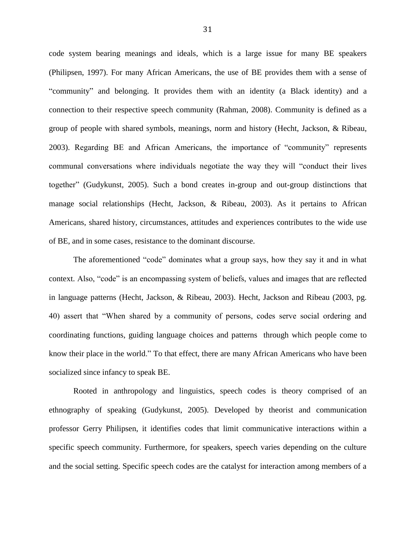code system bearing meanings and ideals, which is a large issue for many BE speakers (Philipsen, 1997). For many African Americans, the use of BE provides them with a sense of "community" and belonging. It provides them with an identity (a Black identity) and a connection to their respective speech community (Rahman, 2008). Community is defined as a group of people with shared symbols, meanings, norm and history (Hecht, Jackson, & Ribeau, 2003). Regarding BE and African Americans, the importance of "community" represents communal conversations where individuals negotiate the way they will "conduct their lives together" (Gudykunst, 2005). Such a bond creates in-group and out-group distinctions that manage social relationships (Hecht, Jackson, & Ribeau, 2003). As it pertains to African Americans, shared history, circumstances, attitudes and experiences contributes to the wide use of BE, and in some cases, resistance to the dominant discourse.

The aforementioned "code" dominates what a group says, how they say it and in what context. Also, "code" is an encompassing system of beliefs, values and images that are reflected in language patterns (Hecht, Jackson, & Ribeau, 2003). Hecht, Jackson and Ribeau (2003, pg. 40) assert that "When shared by a community of persons, codes serve social ordering and coordinating functions, guiding language choices and patterns through which people come to know their place in the world." To that effect, there are many African Americans who have been socialized since infancy to speak BE.

Rooted in anthropology and linguistics, speech codes is theory comprised of an ethnography of speaking (Gudykunst, 2005). Developed by theorist and communication professor Gerry Philipsen, it identifies codes that limit communicative interactions within a specific speech community. Furthermore, for speakers, speech varies depending on the culture and the social setting. Specific speech codes are the catalyst for interaction among members of a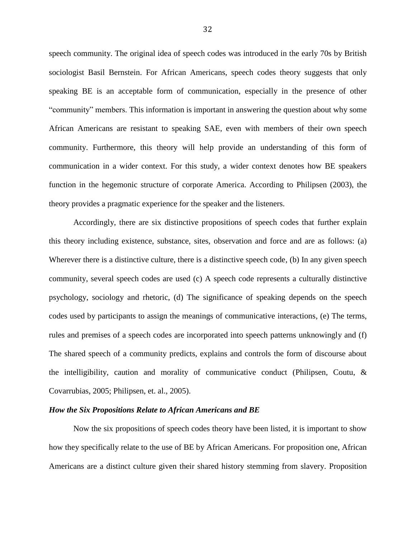speech community. The original idea of speech codes was introduced in the early 70s by British sociologist Basil Bernstein. For African Americans, speech codes theory suggests that only speaking BE is an acceptable form of communication, especially in the presence of other "community" members. This information is important in answering the question about why some African Americans are resistant to speaking SAE, even with members of their own speech community. Furthermore, this theory will help provide an understanding of this form of communication in a wider context. For this study, a wider context denotes how BE speakers function in the hegemonic structure of corporate America. According to Philipsen (2003), the theory provides a pragmatic experience for the speaker and the listeners.

Accordingly, there are six distinctive propositions of speech codes that further explain this theory including existence, substance, sites, observation and force and are as follows: (a) Wherever there is a distinctive culture, there is a distinctive speech code, (b) In any given speech community, several speech codes are used (c) A speech code represents a culturally distinctive psychology, sociology and rhetoric, (d) The significance of speaking depends on the speech codes used by participants to assign the meanings of communicative interactions, (e) The terms, rules and premises of a speech codes are incorporated into speech patterns unknowingly and (f) The shared speech of a community predicts, explains and controls the form of discourse about the intelligibility, caution and morality of communicative conduct (Philipsen, Coutu, & Covarrubias, 2005; Philipsen, et. al., 2005).

# *How the Six Propositions Relate to African Americans and BE*

Now the six propositions of speech codes theory have been listed, it is important to show how they specifically relate to the use of BE by African Americans. For proposition one, African Americans are a distinct culture given their shared history stemming from slavery. Proposition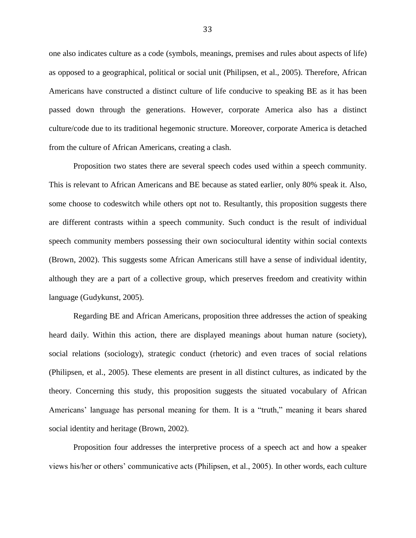one also indicates culture as a code (symbols, meanings, premises and rules about aspects of life) as opposed to a geographical, political or social unit (Philipsen, et al., 2005). Therefore, African Americans have constructed a distinct culture of life conducive to speaking BE as it has been passed down through the generations. However, corporate America also has a distinct culture/code due to its traditional hegemonic structure. Moreover, corporate America is detached from the culture of African Americans, creating a clash.

Proposition two states there are several speech codes used within a speech community. This is relevant to African Americans and BE because as stated earlier, only 80% speak it. Also, some choose to codeswitch while others opt not to. Resultantly, this proposition suggests there are different contrasts within a speech community. Such conduct is the result of individual speech community members possessing their own sociocultural identity within social contexts (Brown, 2002). This suggests some African Americans still have a sense of individual identity, although they are a part of a collective group, which preserves freedom and creativity within language (Gudykunst, 2005).

Regarding BE and African Americans, proposition three addresses the action of speaking heard daily. Within this action, there are displayed meanings about human nature (society), social relations (sociology), strategic conduct (rhetoric) and even traces of social relations (Philipsen, et al., 2005). These elements are present in all distinct cultures, as indicated by the theory. Concerning this study, this proposition suggests the situated vocabulary of African Americans" language has personal meaning for them. It is a "truth," meaning it bears shared social identity and heritage (Brown, 2002).

Proposition four addresses the interpretive process of a speech act and how a speaker views his/her or others" communicative acts (Philipsen, et al., 2005). In other words, each culture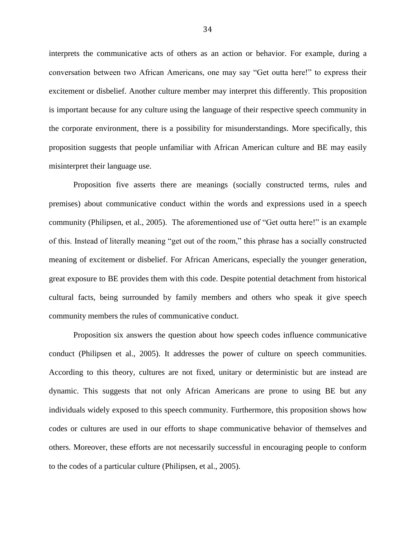interprets the communicative acts of others as an action or behavior. For example, during a conversation between two African Americans, one may say "Get outta here!" to express their excitement or disbelief. Another culture member may interpret this differently. This proposition is important because for any culture using the language of their respective speech community in the corporate environment, there is a possibility for misunderstandings. More specifically, this proposition suggests that people unfamiliar with African American culture and BE may easily misinterpret their language use.

Proposition five asserts there are meanings (socially constructed terms, rules and premises) about communicative conduct within the words and expressions used in a speech community (Philipsen, et al., 2005). The aforementioned use of "Get outta here!" is an example of this. Instead of literally meaning "get out of the room," this phrase has a socially constructed meaning of excitement or disbelief. For African Americans, especially the younger generation, great exposure to BE provides them with this code. Despite potential detachment from historical cultural facts, being surrounded by family members and others who speak it give speech community members the rules of communicative conduct.

Proposition six answers the question about how speech codes influence communicative conduct (Philipsen et al., 2005). It addresses the power of culture on speech communities. According to this theory, cultures are not fixed, unitary or deterministic but are instead are dynamic. This suggests that not only African Americans are prone to using BE but any individuals widely exposed to this speech community. Furthermore, this proposition shows how codes or cultures are used in our efforts to shape communicative behavior of themselves and others. Moreover, these efforts are not necessarily successful in encouraging people to conform to the codes of a particular culture (Philipsen, et al., 2005).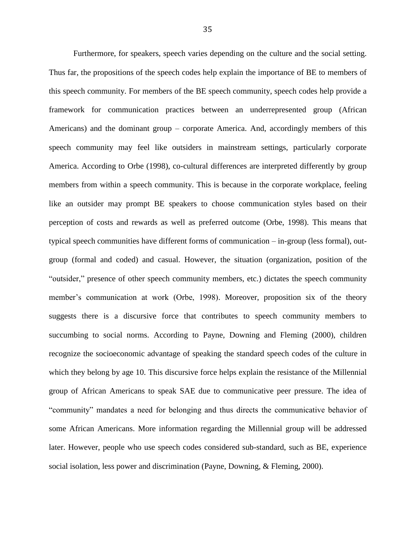Furthermore, for speakers, speech varies depending on the culture and the social setting. Thus far, the propositions of the speech codes help explain the importance of BE to members of this speech community. For members of the BE speech community, speech codes help provide a framework for communication practices between an underrepresented group (African Americans) and the dominant group – corporate America. And, accordingly members of this speech community may feel like outsiders in mainstream settings, particularly corporate America. According to Orbe (1998), co-cultural differences are interpreted differently by group members from within a speech community. This is because in the corporate workplace, feeling like an outsider may prompt BE speakers to choose communication styles based on their perception of costs and rewards as well as preferred outcome (Orbe, 1998). This means that typical speech communities have different forms of communication – in-group (less formal), outgroup (formal and coded) and casual. However, the situation (organization, position of the "outsider," presence of other speech community members, etc.) dictates the speech community member"s communication at work (Orbe, 1998). Moreover, proposition six of the theory suggests there is a discursive force that contributes to speech community members to succumbing to social norms. According to Payne, Downing and Fleming (2000), children recognize the socioeconomic advantage of speaking the standard speech codes of the culture in which they belong by age 10. This discursive force helps explain the resistance of the Millennial group of African Americans to speak SAE due to communicative peer pressure. The idea of "community" mandates a need for belonging and thus directs the communicative behavior of some African Americans. More information regarding the Millennial group will be addressed later. However, people who use speech codes considered sub-standard, such as BE, experience social isolation, less power and discrimination (Payne, Downing, & Fleming, 2000).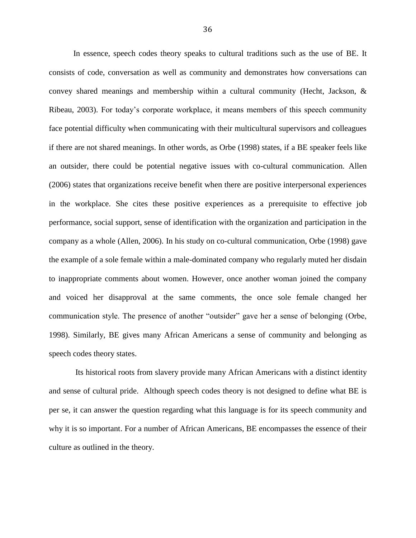In essence, speech codes theory speaks to cultural traditions such as the use of BE. It consists of code, conversation as well as community and demonstrates how conversations can convey shared meanings and membership within a cultural community (Hecht, Jackson, & Ribeau, 2003). For today"s corporate workplace, it means members of this speech community face potential difficulty when communicating with their multicultural supervisors and colleagues if there are not shared meanings. In other words, as Orbe (1998) states, if a BE speaker feels like an outsider, there could be potential negative issues with co-cultural communication. Allen (2006) states that organizations receive benefit when there are positive interpersonal experiences in the workplace. She cites these positive experiences as a prerequisite to effective job performance, social support, sense of identification with the organization and participation in the company as a whole (Allen, 2006). In his study on co-cultural communication, Orbe (1998) gave the example of a sole female within a male-dominated company who regularly muted her disdain to inappropriate comments about women. However, once another woman joined the company and voiced her disapproval at the same comments, the once sole female changed her communication style. The presence of another "outsider" gave her a sense of belonging (Orbe, 1998). Similarly, BE gives many African Americans a sense of community and belonging as speech codes theory states.

Its historical roots from slavery provide many African Americans with a distinct identity and sense of cultural pride. Although speech codes theory is not designed to define what BE is per se, it can answer the question regarding what this language is for its speech community and why it is so important. For a number of African Americans, BE encompasses the essence of their culture as outlined in the theory.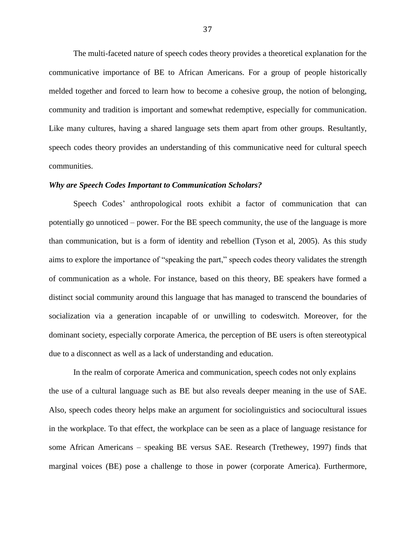The multi-faceted nature of speech codes theory provides a theoretical explanation for the communicative importance of BE to African Americans. For a group of people historically melded together and forced to learn how to become a cohesive group, the notion of belonging, community and tradition is important and somewhat redemptive, especially for communication. Like many cultures, having a shared language sets them apart from other groups. Resultantly, speech codes theory provides an understanding of this communicative need for cultural speech communities.

### *Why are Speech Codes Important to Communication Scholars?*

Speech Codes" anthropological roots exhibit a factor of communication that can potentially go unnoticed – power. For the BE speech community, the use of the language is more than communication, but is a form of identity and rebellion (Tyson et al, 2005). As this study aims to explore the importance of "speaking the part," speech codes theory validates the strength of communication as a whole. For instance, based on this theory, BE speakers have formed a distinct social community around this language that has managed to transcend the boundaries of socialization via a generation incapable of or unwilling to codeswitch. Moreover, for the dominant society, especially corporate America, the perception of BE users is often stereotypical due to a disconnect as well as a lack of understanding and education.

In the realm of corporate America and communication, speech codes not only explains the use of a cultural language such as BE but also reveals deeper meaning in the use of SAE. Also, speech codes theory helps make an argument for sociolinguistics and sociocultural issues in the workplace. To that effect, the workplace can be seen as a place of language resistance for some African Americans – speaking BE versus SAE. Research (Trethewey, 1997) finds that marginal voices (BE) pose a challenge to those in power (corporate America). Furthermore,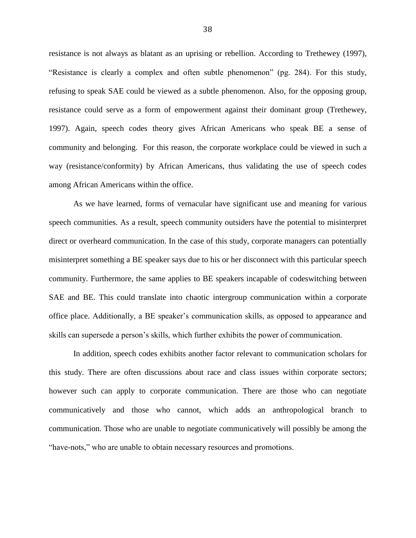resistance is not always as blatant as an uprising or rebellion. According to Trethewey (1997), "Resistance is clearly a complex and often subtle phenomenon" (pg. 284). For this study, refusing to speak SAE could be viewed as a subtle phenomenon. Also, for the opposing group, resistance could serve as a form of empowerment against their dominant group (Trethewey, 1997). Again, speech codes theory gives African Americans who speak BE a sense of community and belonging. For this reason, the corporate workplace could be viewed in such a way (resistance/conformity) by African Americans, thus validating the use of speech codes among African Americans within the office.

As we have learned, forms of vernacular have significant use and meaning for various speech communities. As a result, speech community outsiders have the potential to misinterpret direct or overheard communication. In the case of this study, corporate managers can potentially misinterpret something a BE speaker says due to his or her disconnect with this particular speech community. Furthermore, the same applies to BE speakers incapable of codeswitching between SAE and BE. This could translate into chaotic intergroup communication within a corporate office place. Additionally, a BE speaker"s communication skills, as opposed to appearance and skills can supersede a person"s skills, which further exhibits the power of communication.

In addition, speech codes exhibits another factor relevant to communication scholars for this study. There are often discussions about race and class issues within corporate sectors; however such can apply to corporate communication. There are those who can negotiate communicatively and those who cannot, which adds an anthropological branch to communication. Those who are unable to negotiate communicatively will possibly be among the "have-nots," who are unable to obtain necessary resources and promotions.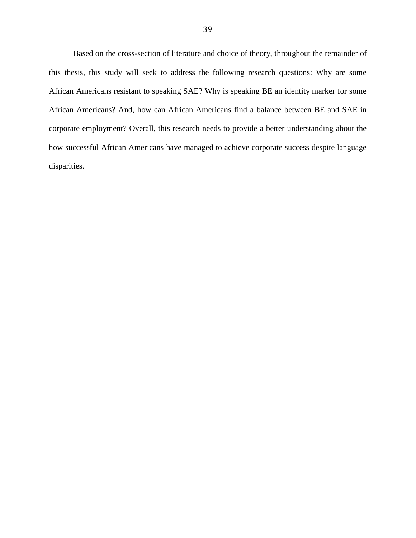Based on the cross-section of literature and choice of theory, throughout the remainder of this thesis, this study will seek to address the following research questions: Why are some African Americans resistant to speaking SAE? Why is speaking BE an identity marker for some African Americans? And, how can African Americans find a balance between BE and SAE in corporate employment? Overall, this research needs to provide a better understanding about the how successful African Americans have managed to achieve corporate success despite language disparities.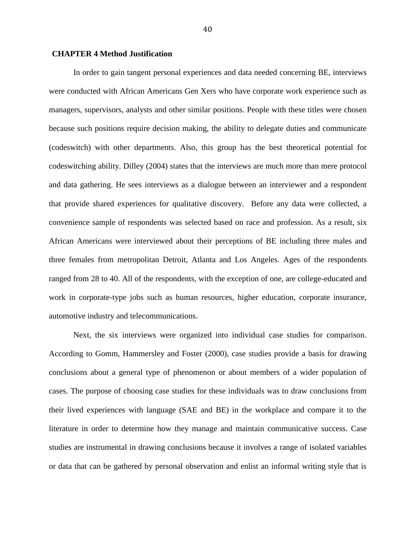# **CHAPTER 4 Method Justification**

In order to gain tangent personal experiences and data needed concerning BE, interviews were conducted with African Americans Gen Xers who have corporate work experience such as managers, supervisors, analysts and other similar positions. People with these titles were chosen because such positions require decision making, the ability to delegate duties and communicate (codeswitch) with other departments. Also, this group has the best theoretical potential for codeswitching ability. Dilley (2004) states that the interviews are much more than mere protocol and data gathering. He sees interviews as a dialogue between an interviewer and a respondent that provide shared experiences for qualitative discovery. Before any data were collected, a convenience sample of respondents was selected based on race and profession. As a result, six African Americans were interviewed about their perceptions of BE including three males and three females from metropolitan Detroit, Atlanta and Los Angeles. Ages of the respondents ranged from 28 to 40. All of the respondents, with the exception of one, are college-educated and work in corporate-type jobs such as human resources, higher education, corporate insurance, automotive industry and telecommunications.

Next, the six interviews were organized into individual case studies for comparison. According to Gomm, Hammersley and Foster (2000), case studies provide a basis for drawing conclusions about a general type of phenomenon or about members of a wider population of cases. The purpose of choosing case studies for these individuals was to draw conclusions from their lived experiences with language (SAE and BE) in the workplace and compare it to the literature in order to determine how they manage and maintain communicative success. Case studies are instrumental in drawing conclusions because it involves a range of isolated variables or data that can be gathered by personal observation and enlist an informal writing style that is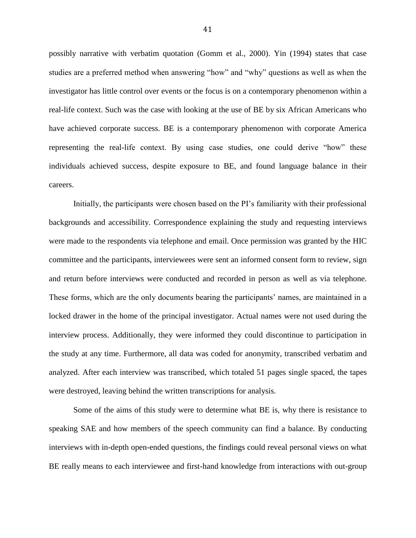possibly narrative with verbatim quotation (Gomm et al., 2000). Yin (1994) states that case studies are a preferred method when answering "how" and "why" questions as well as when the investigator has little control over events or the focus is on a contemporary phenomenon within a real-life context. Such was the case with looking at the use of BE by six African Americans who have achieved corporate success. BE is a contemporary phenomenon with corporate America representing the real-life context. By using case studies, one could derive "how" these individuals achieved success, despite exposure to BE, and found language balance in their careers.

Initially, the participants were chosen based on the PI"s familiarity with their professional backgrounds and accessibility. Correspondence explaining the study and requesting interviews were made to the respondents via telephone and email. Once permission was granted by the HIC committee and the participants, interviewees were sent an informed consent form to review, sign and return before interviews were conducted and recorded in person as well as via telephone. These forms, which are the only documents bearing the participants" names, are maintained in a locked drawer in the home of the principal investigator. Actual names were not used during the interview process. Additionally, they were informed they could discontinue to participation in the study at any time. Furthermore, all data was coded for anonymity, transcribed verbatim and analyzed. After each interview was transcribed, which totaled 51 pages single spaced, the tapes were destroyed, leaving behind the written transcriptions for analysis.

Some of the aims of this study were to determine what BE is, why there is resistance to speaking SAE and how members of the speech community can find a balance. By conducting interviews with in-depth open-ended questions, the findings could reveal personal views on what BE really means to each interviewee and first-hand knowledge from interactions with out-group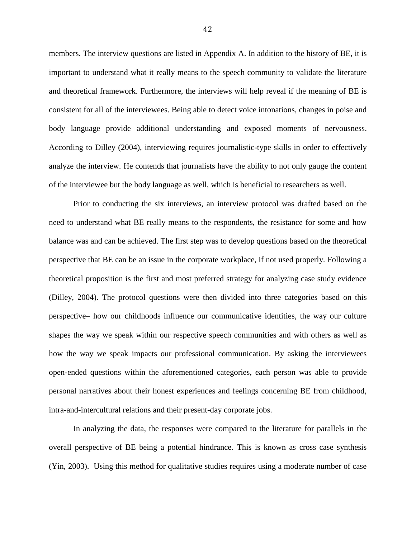members. The interview questions are listed in Appendix A. In addition to the history of BE, it is important to understand what it really means to the speech community to validate the literature and theoretical framework. Furthermore, the interviews will help reveal if the meaning of BE is consistent for all of the interviewees. Being able to detect voice intonations, changes in poise and body language provide additional understanding and exposed moments of nervousness. According to Dilley (2004), interviewing requires journalistic-type skills in order to effectively analyze the interview. He contends that journalists have the ability to not only gauge the content of the interviewee but the body language as well, which is beneficial to researchers as well.

Prior to conducting the six interviews, an interview protocol was drafted based on the need to understand what BE really means to the respondents, the resistance for some and how balance was and can be achieved. The first step was to develop questions based on the theoretical perspective that BE can be an issue in the corporate workplace, if not used properly. Following a theoretical proposition is the first and most preferred strategy for analyzing case study evidence (Dilley, 2004). The protocol questions were then divided into three categories based on this perspective– how our childhoods influence our communicative identities, the way our culture shapes the way we speak within our respective speech communities and with others as well as how the way we speak impacts our professional communication. By asking the interviewees open-ended questions within the aforementioned categories, each person was able to provide personal narratives about their honest experiences and feelings concerning BE from childhood, intra-and-intercultural relations and their present-day corporate jobs.

In analyzing the data, the responses were compared to the literature for parallels in the overall perspective of BE being a potential hindrance. This is known as cross case synthesis (Yin, 2003). Using this method for qualitative studies requires using a moderate number of case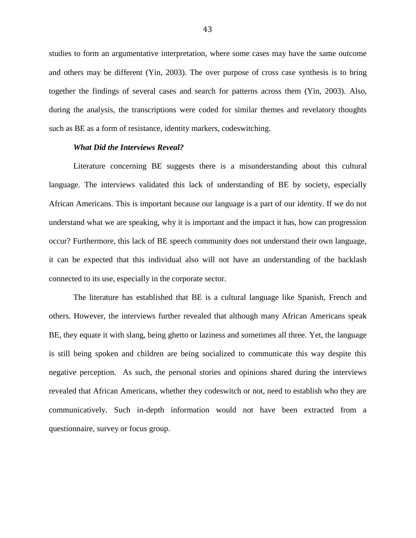studies to form an argumentative interpretation, where some cases may have the same outcome and others may be different (Yin, 2003). The over purpose of cross case synthesis is to bring together the findings of several cases and search for patterns across them (Yin, 2003). Also, during the analysis, the transcriptions were coded for similar themes and revelatory thoughts such as BE as a form of resistance, identity markers, codeswitching.

### *What Did the Interviews Reveal?*

Literature concerning BE suggests there is a misunderstanding about this cultural language. The interviews validated this lack of understanding of BE by society, especially African Americans. This is important because our language is a part of our identity. If we do not understand what we are speaking, why it is important and the impact it has, how can progression occur? Furthermore, this lack of BE speech community does not understand their own language, it can be expected that this individual also will not have an understanding of the backlash connected to its use, especially in the corporate sector.

The literature has established that BE is a cultural language like Spanish, French and others. However, the interviews further revealed that although many African Americans speak BE, they equate it with slang, being ghetto or laziness and sometimes all three. Yet, the language is still being spoken and children are being socialized to communicate this way despite this negative perception. As such, the personal stories and opinions shared during the interviews revealed that African Americans, whether they codeswitch or not, need to establish who they are communicatively. Such in-depth information would not have been extracted from a questionnaire, survey or focus group.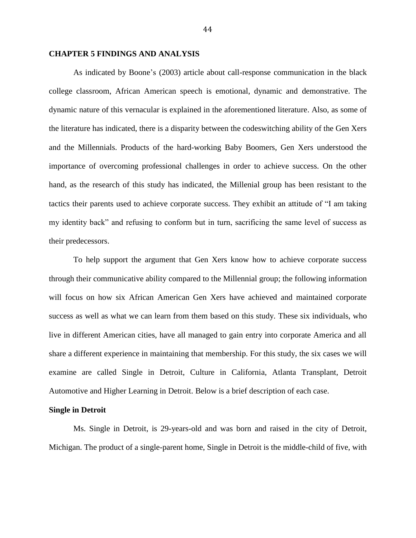# **CHAPTER 5 FINDINGS AND ANALYSIS**

As indicated by Boone"s (2003) article about call-response communication in the black college classroom, African American speech is emotional, dynamic and demonstrative. The dynamic nature of this vernacular is explained in the aforementioned literature. Also, as some of the literature has indicated, there is a disparity between the codeswitching ability of the Gen Xers and the Millennials. Products of the hard-working Baby Boomers, Gen Xers understood the importance of overcoming professional challenges in order to achieve success. On the other hand, as the research of this study has indicated, the Millenial group has been resistant to the tactics their parents used to achieve corporate success. They exhibit an attitude of "I am taking my identity back" and refusing to conform but in turn, sacrificing the same level of success as their predecessors.

To help support the argument that Gen Xers know how to achieve corporate success through their communicative ability compared to the Millennial group; the following information will focus on how six African American Gen Xers have achieved and maintained corporate success as well as what we can learn from them based on this study. These six individuals, who live in different American cities, have all managed to gain entry into corporate America and all share a different experience in maintaining that membership. For this study, the six cases we will examine are called Single in Detroit, Culture in California, Atlanta Transplant, Detroit Automotive and Higher Learning in Detroit. Below is a brief description of each case.

### **Single in Detroit**

Ms. Single in Detroit, is 29-years-old and was born and raised in the city of Detroit, Michigan. The product of a single-parent home, Single in Detroit is the middle-child of five, with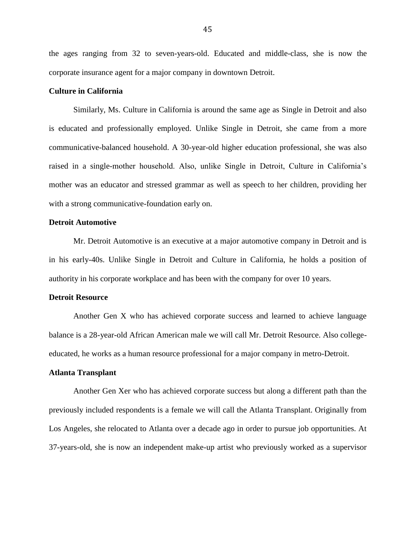the ages ranging from 32 to seven-years-old. Educated and middle-class, she is now the corporate insurance agent for a major company in downtown Detroit.

# **Culture in California**

Similarly, Ms. Culture in California is around the same age as Single in Detroit and also is educated and professionally employed. Unlike Single in Detroit, she came from a more communicative-balanced household. A 30-year-old higher education professional, she was also raised in a single-mother household. Also, unlike Single in Detroit, Culture in California"s mother was an educator and stressed grammar as well as speech to her children, providing her with a strong communicative-foundation early on.

# **Detroit Automotive**

Mr. Detroit Automotive is an executive at a major automotive company in Detroit and is in his early-40s. Unlike Single in Detroit and Culture in California, he holds a position of authority in his corporate workplace and has been with the company for over 10 years.

## **Detroit Resource**

Another Gen X who has achieved corporate success and learned to achieve language balance is a 28-year-old African American male we will call Mr. Detroit Resource. Also collegeeducated, he works as a human resource professional for a major company in metro-Detroit.

#### **Atlanta Transplant**

Another Gen Xer who has achieved corporate success but along a different path than the previously included respondents is a female we will call the Atlanta Transplant. Originally from Los Angeles, she relocated to Atlanta over a decade ago in order to pursue job opportunities. At 37-years-old, she is now an independent make-up artist who previously worked as a supervisor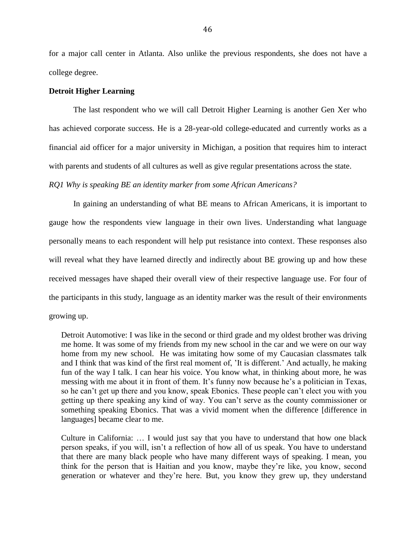for a major call center in Atlanta. Also unlike the previous respondents, she does not have a college degree.

# **Detroit Higher Learning**

The last respondent who we will call Detroit Higher Learning is another Gen Xer who has achieved corporate success. He is a 28-year-old college-educated and currently works as a financial aid officer for a major university in Michigan, a position that requires him to interact with parents and students of all cultures as well as give regular presentations across the state.

*RQ1 Why is speaking BE an identity marker from some African Americans?* 

In gaining an understanding of what BE means to African Americans, it is important to gauge how the respondents view language in their own lives. Understanding what language personally means to each respondent will help put resistance into context. These responses also will reveal what they have learned directly and indirectly about BE growing up and how these received messages have shaped their overall view of their respective language use. For four of the participants in this study, language as an identity marker was the result of their environments growing up.

Detroit Automotive: I was like in the second or third grade and my oldest brother was driving me home. It was some of my friends from my new school in the car and we were on our way home from my new school. He was imitating how some of my Caucasian classmates talk and I think that was kind of the first real moment of, "It is different." And actually, he making fun of the way I talk. I can hear his voice. You know what, in thinking about more, he was messing with me about it in front of them. It's funny now because he's a politician in Texas, so he can"t get up there and you know, speak Ebonics. These people can"t elect you with you getting up there speaking any kind of way. You can"t serve as the county commissioner or something speaking Ebonics. That was a vivid moment when the difference [difference in languages] became clear to me.

Culture in California: … I would just say that you have to understand that how one black person speaks, if you will, isn"t a reflection of how all of us speak. You have to understand that there are many black people who have many different ways of speaking. I mean, you think for the person that is Haitian and you know, maybe they"re like, you know, second generation or whatever and they"re here. But, you know they grew up, they understand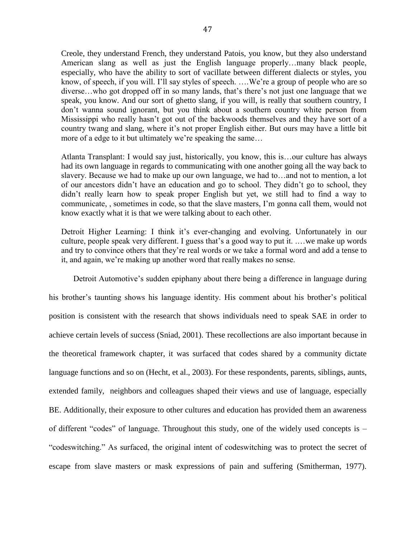Creole, they understand French, they understand Patois, you know, but they also understand American slang as well as just the English language properly…many black people, especially, who have the ability to sort of vacillate between different dialects or styles, you know, of speech, if you will. I"ll say styles of speech. ….We"re a group of people who are so diverse...who got dropped off in so many lands, that's there's not just one language that we speak, you know. And our sort of ghetto slang, if you will, is really that southern country, I don"t wanna sound ignorant, but you think about a southern country white person from Mississippi who really hasn"t got out of the backwoods themselves and they have sort of a country twang and slang, where it's not proper English either. But ours may have a little bit more of a edge to it but ultimately we're speaking the same...

Atlanta Transplant: I would say just, historically, you know, this is…our culture has always had its own language in regards to communicating with one another going all the way back to slavery. Because we had to make up our own language, we had to…and not to mention, a lot of our ancestors didn"t have an education and go to school. They didn"t go to school, they didn"t really learn how to speak proper English but yet, we still had to find a way to communicate, , sometimes in code, so that the slave masters, I"m gonna call them, would not know exactly what it is that we were talking about to each other.

Detroit Higher Learning: I think it's ever-changing and evolving. Unfortunately in our culture, people speak very different. I guess that's a good way to put it. ... we make up words and try to convince others that they"re real words or we take a formal word and add a tense to it, and again, we"re making up another word that really makes no sense.

Detroit Automotive's sudden epiphany about there being a difference in language during his brother"s taunting shows his language identity. His comment about his brother"s political position is consistent with the research that shows individuals need to speak SAE in order to achieve certain levels of success (Sniad, 2001). These recollections are also important because in the theoretical framework chapter, it was surfaced that codes shared by a community dictate language functions and so on (Hecht, et al., 2003). For these respondents, parents, siblings, aunts, extended family, neighbors and colleagues shaped their views and use of language, especially BE. Additionally, their exposure to other cultures and education has provided them an awareness of different "codes" of language. Throughout this study, one of the widely used concepts is – "codeswitching." As surfaced, the original intent of codeswitching was to protect the secret of escape from slave masters or mask expressions of pain and suffering (Smitherman, 1977).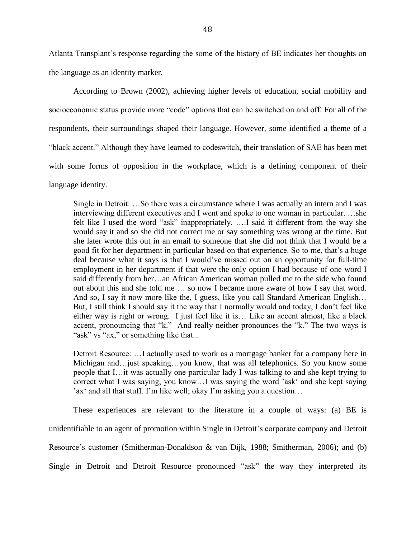Atlanta Transplant"s response regarding the some of the history of BE indicates her thoughts on the language as an identity marker.

According to Brown (2002), achieving higher levels of education, social mobility and socioeconomic status provide more "code" options that can be switched on and off. For all of the respondents, their surroundings shaped their language. However, some identified a theme of a "black accent." Although they have learned to codeswitch, their translation of SAE has been met with some forms of opposition in the workplace, which is a defining component of their language identity.

Single in Detroit: …So there was a circumstance where I was actually an intern and I was interviewing different executives and I went and spoke to one woman in particular. …she felt like I used the word "ask" inappropriately. ….I said it different from the way she would say it and so she did not correct me or say something was wrong at the time. But she later wrote this out in an email to someone that she did not think that I would be a good fit for her department in particular based on that experience. So to me, that"s a huge deal because what it says is that I would"ve missed out on an opportunity for full-time employment in her department if that were the only option I had because of one word I said differently from her…an African American woman pulled me to the side who found out about this and she told me … so now I became more aware of how I say that word. And so, I say it now more like the, I guess, like you call Standard American English… But, I still think I should say it the way that I normally would and today, I don"t feel like either way is right or wrong. I just feel like it is… Like an accent almost, like a black accent, pronouncing that "k." And really neither pronounces the "k." The two ways is "ask" vs "ax," or something like that...

Detroit Resource: …I actually used to work as a mortgage banker for a company here in Michigan and…just speaking…you know, that was all telephonics. So you know some people that I…it was actually one particular lady I was talking to and she kept trying to correct what I was saying, you know…I was saying the word "ask" and she kept saying 'ax' and all that stuff. I'm like well; okay I'm asking you a question...

These experiences are relevant to the literature in a couple of ways: (a) BE is unidentifiable to an agent of promotion within Single in Detroit's corporate company and Detroit Resource's customer (Smitherman-Donaldson & van Dijk, 1988; Smitherman, 2006); and (b) Single in Detroit and Detroit Resource pronounced "ask" the way they interpreted its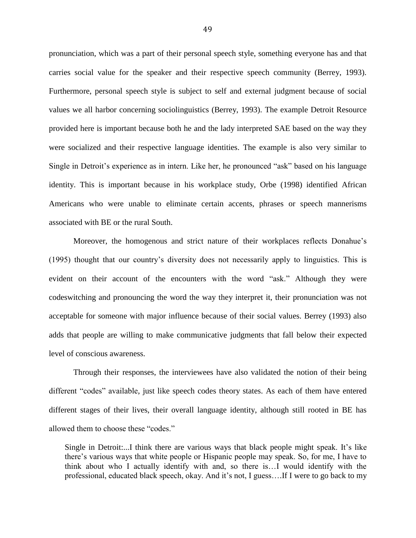pronunciation, which was a part of their personal speech style, something everyone has and that carries social value for the speaker and their respective speech community (Berrey, 1993). Furthermore, personal speech style is subject to self and external judgment because of social values we all harbor concerning sociolinguistics (Berrey, 1993). The example Detroit Resource provided here is important because both he and the lady interpreted SAE based on the way they were socialized and their respective language identities. The example is also very similar to Single in Detroit's experience as in intern. Like her, he pronounced "ask" based on his language identity. This is important because in his workplace study, Orbe (1998) identified African Americans who were unable to eliminate certain accents, phrases or speech mannerisms associated with BE or the rural South.

Moreover, the homogenous and strict nature of their workplaces reflects Donahue"s (1995) thought that our country"s diversity does not necessarily apply to linguistics. This is evident on their account of the encounters with the word "ask." Although they were codeswitching and pronouncing the word the way they interpret it, their pronunciation was not acceptable for someone with major influence because of their social values. Berrey (1993) also adds that people are willing to make communicative judgments that fall below their expected level of conscious awareness.

Through their responses, the interviewees have also validated the notion of their being different "codes" available, just like speech codes theory states. As each of them have entered different stages of their lives, their overall language identity, although still rooted in BE has allowed them to choose these "codes."

Single in Detroit:...I think there are various ways that black people might speak. It's like there"s various ways that white people or Hispanic people may speak. So, for me, I have to think about who I actually identify with and, so there is…I would identify with the professional, educated black speech, okay. And it"s not, I guess….If I were to go back to my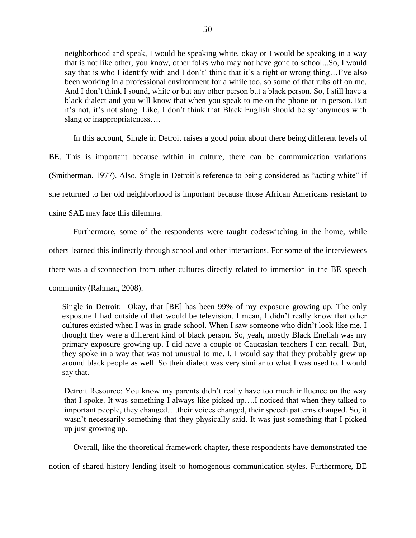neighborhood and speak, I would be speaking white, okay or I would be speaking in a way that is not like other, you know, other folks who may not have gone to school...So, I would say that is who I identify with and I don't' think that it's a right or wrong thing...I've also been working in a professional environment for a while too, so some of that rubs off on me. And I don"t think I sound, white or but any other person but a black person. So, I still have a black dialect and you will know that when you speak to me on the phone or in person. But it"s not, it"s not slang. Like, I don"t think that Black English should be synonymous with slang or inappropriateness….

In this account, Single in Detroit raises a good point about there being different levels of

BE. This is important because within in culture, there can be communication variations

(Smitherman, 1977). Also, Single in Detroit's reference to being considered as "acting white" if

she returned to her old neighborhood is important because those African Americans resistant to

using SAE may face this dilemma.

Furthermore, some of the respondents were taught codeswitching in the home, while others learned this indirectly through school and other interactions. For some of the interviewees there was a disconnection from other cultures directly related to immersion in the BE speech community (Rahman, 2008).

Single in Detroit: Okay, that [BE] has been 99% of my exposure growing up. The only exposure I had outside of that would be television. I mean, I didn"t really know that other cultures existed when I was in grade school. When I saw someone who didn"t look like me, I thought they were a different kind of black person. So, yeah, mostly Black English was my primary exposure growing up. I did have a couple of Caucasian teachers I can recall. But, they spoke in a way that was not unusual to me. I, I would say that they probably grew up around black people as well. So their dialect was very similar to what I was used to. I would say that.

Detroit Resource: You know my parents didn"t really have too much influence on the way that I spoke. It was something I always like picked up….I noticed that when they talked to important people, they changed….their voices changed, their speech patterns changed. So, it wasn"t necessarily something that they physically said. It was just something that I picked up just growing up.

Overall, like the theoretical framework chapter, these respondents have demonstrated the

notion of shared history lending itself to homogenous communication styles. Furthermore, BE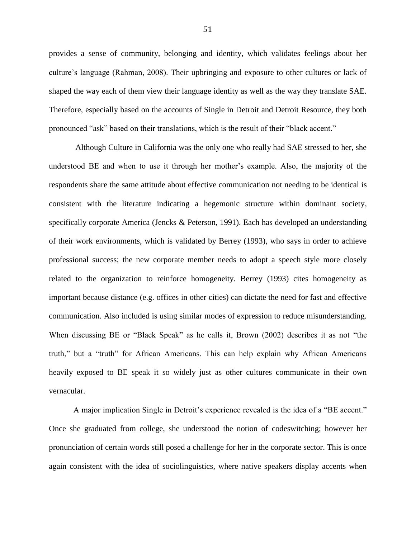provides a sense of community, belonging and identity, which validates feelings about her culture"s language (Rahman, 2008). Their upbringing and exposure to other cultures or lack of shaped the way each of them view their language identity as well as the way they translate SAE. Therefore, especially based on the accounts of Single in Detroit and Detroit Resource, they both pronounced "ask" based on their translations, which is the result of their "black accent."

Although Culture in California was the only one who really had SAE stressed to her, she understood BE and when to use it through her mother"s example. Also, the majority of the respondents share the same attitude about effective communication not needing to be identical is consistent with the literature indicating a hegemonic structure within dominant society, specifically corporate America (Jencks & Peterson, 1991). Each has developed an understanding of their work environments, which is validated by Berrey (1993), who says in order to achieve professional success; the new corporate member needs to adopt a speech style more closely related to the organization to reinforce homogeneity. Berrey (1993) cites homogeneity as important because distance (e.g. offices in other cities) can dictate the need for fast and effective communication. Also included is using similar modes of expression to reduce misunderstanding. When discussing BE or "Black Speak" as he calls it, Brown (2002) describes it as not "the truth," but a "truth" for African Americans. This can help explain why African Americans heavily exposed to BE speak it so widely just as other cultures communicate in their own vernacular.

A major implication Single in Detroit's experience revealed is the idea of a "BE accent." Once she graduated from college, she understood the notion of codeswitching; however her pronunciation of certain words still posed a challenge for her in the corporate sector. This is once again consistent with the idea of sociolinguistics, where native speakers display accents when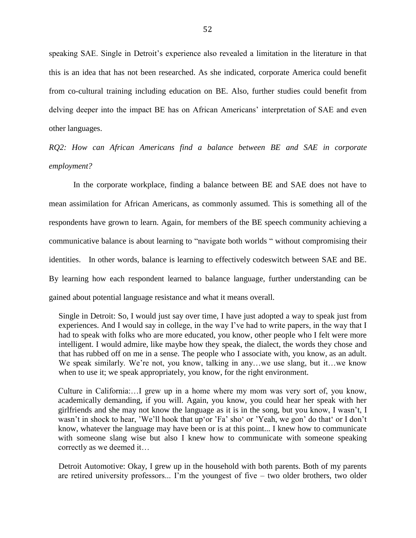speaking SAE. Single in Detroit's experience also revealed a limitation in the literature in that this is an idea that has not been researched. As she indicated, corporate America could benefit from co-cultural training including education on BE. Also, further studies could benefit from delving deeper into the impact BE has on African Americans" interpretation of SAE and even other languages.

*RQ2: How can African Americans find a balance between BE and SAE in corporate employment?* 

In the corporate workplace, finding a balance between BE and SAE does not have to mean assimilation for African Americans, as commonly assumed. This is something all of the respondents have grown to learn. Again, for members of the BE speech community achieving a communicative balance is about learning to "navigate both worlds " without compromising their identities. In other words, balance is learning to effectively codeswitch between SAE and BE. By learning how each respondent learned to balance language, further understanding can be gained about potential language resistance and what it means overall.

Single in Detroit: So, I would just say over time, I have just adopted a way to speak just from experiences. And I would say in college, in the way I"ve had to write papers, in the way that I had to speak with folks who are more educated, you know, other people who I felt were more intelligent. I would admire, like maybe how they speak, the dialect, the words they chose and that has rubbed off on me in a sense. The people who I associate with, you know, as an adult. We speak similarly. We're not, you know, talking in any...we use slang, but it...we know when to use it; we speak appropriately, you know, for the right environment.

 Culture in California:…I grew up in a home where my mom was very sort of, you know, academically demanding, if you will. Again, you know, you could hear her speak with her girlfriends and she may not know the language as it is in the song, but you know, I wasn"t, I wasn't in shock to hear, 'We'll hook that up'or 'Fa' sho' or 'Yeah, we gon' do that' or I don't know, whatever the language may have been or is at this point... I knew how to communicate with someone slang wise but also I knew how to communicate with someone speaking correctly as we deemed it…

Detroit Automotive: Okay, I grew up in the household with both parents. Both of my parents are retired university professors... I'm the youngest of five  $-$  two older brothers, two older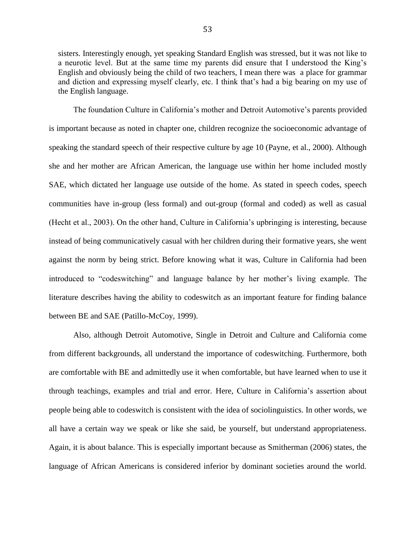sisters. Interestingly enough, yet speaking Standard English was stressed, but it was not like to a neurotic level. But at the same time my parents did ensure that I understood the King"s English and obviously being the child of two teachers, I mean there was a place for grammar and diction and expressing myself clearly, etc. I think that's had a big bearing on my use of the English language.

The foundation Culture in California"s mother and Detroit Automotive"s parents provided is important because as noted in chapter one, children recognize the socioeconomic advantage of speaking the standard speech of their respective culture by age 10 (Payne, et al., 2000). Although she and her mother are African American, the language use within her home included mostly SAE, which dictated her language use outside of the home. As stated in speech codes, speech communities have in-group (less formal) and out-group (formal and coded) as well as casual (Hecht et al., 2003). On the other hand, Culture in California"s upbringing is interesting, because instead of being communicatively casual with her children during their formative years, she went against the norm by being strict. Before knowing what it was, Culture in California had been introduced to "codeswitching" and language balance by her mother"s living example. The literature describes having the ability to codeswitch as an important feature for finding balance between BE and SAE (Patillo-McCoy, 1999).

Also, although Detroit Automotive, Single in Detroit and Culture and California come from different backgrounds, all understand the importance of codeswitching. Furthermore, both are comfortable with BE and admittedly use it when comfortable, but have learned when to use it through teachings, examples and trial and error. Here, Culture in California"s assertion about people being able to codeswitch is consistent with the idea of sociolinguistics. In other words, we all have a certain way we speak or like she said, be yourself, but understand appropriateness. Again, it is about balance. This is especially important because as Smitherman (2006) states, the language of African Americans is considered inferior by dominant societies around the world.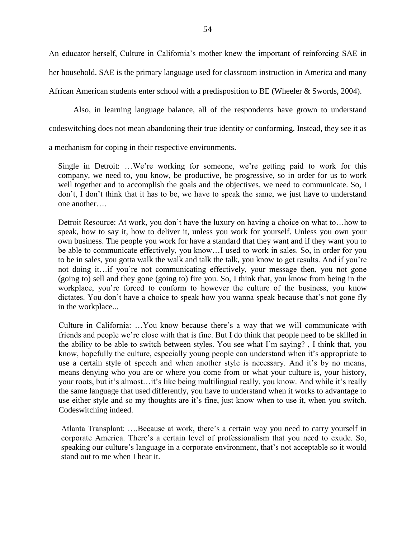An educator herself, Culture in California"s mother knew the important of reinforcing SAE in her household. SAE is the primary language used for classroom instruction in America and many African American students enter school with a predisposition to BE (Wheeler & Swords, 2004).

Also, in learning language balance, all of the respondents have grown to understand

codeswitching does not mean abandoning their true identity or conforming. Instead, they see it as

a mechanism for coping in their respective environments.

Single in Detroit: ...We're working for someone, we're getting paid to work for this company, we need to, you know, be productive, be progressive, so in order for us to work well together and to accomplish the goals and the objectives, we need to communicate. So, I don't, I don't think that it has to be, we have to speak the same, we just have to understand one another….

Detroit Resource: At work, you don't have the luxury on having a choice on what to... how to speak, how to say it, how to deliver it, unless you work for yourself. Unless you own your own business. The people you work for have a standard that they want and if they want you to be able to communicate effectively, you know…I used to work in sales. So, in order for you to be in sales, you gotta walk the walk and talk the talk, you know to get results. And if you"re not doing it…if you"re not communicating effectively, your message then, you not gone (going to) sell and they gone (going to) fire you. So, I think that, you know from being in the workplace, you"re forced to conform to however the culture of the business, you know dictates. You don't have a choice to speak how you wanna speak because that's not gone fly in the workplace...

Culture in California: …You know because there"s a way that we will communicate with friends and people we"re close with that is fine. But I do think that people need to be skilled in the ability to be able to switch between styles. You see what I"m saying? , I think that, you know, hopefully the culture, especially young people can understand when it's appropriate to use a certain style of speech and when another style is necessary. And it's by no means, means denying who you are or where you come from or what your culture is, your history, your roots, but it's almost...it's like being multilingual really, you know. And while it's really the same language that used differently, you have to understand when it works to advantage to use either style and so my thoughts are it's fine, just know when to use it, when you switch. Codeswitching indeed.

Atlanta Transplant: ....Because at work, there's a certain way you need to carry yourself in corporate America. There"s a certain level of professionalism that you need to exude. So, speaking our culture's language in a corporate environment, that's not acceptable so it would stand out to me when I hear it.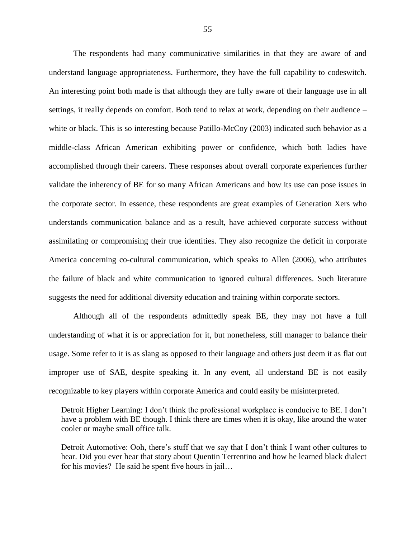The respondents had many communicative similarities in that they are aware of and understand language appropriateness. Furthermore, they have the full capability to codeswitch. An interesting point both made is that although they are fully aware of their language use in all settings, it really depends on comfort. Both tend to relax at work, depending on their audience – white or black. This is so interesting because Patillo-McCoy (2003) indicated such behavior as a middle-class African American exhibiting power or confidence, which both ladies have accomplished through their careers. These responses about overall corporate experiences further validate the inherency of BE for so many African Americans and how its use can pose issues in the corporate sector. In essence, these respondents are great examples of Generation Xers who understands communication balance and as a result, have achieved corporate success without assimilating or compromising their true identities. They also recognize the deficit in corporate America concerning co-cultural communication, which speaks to Allen (2006), who attributes the failure of black and white communication to ignored cultural differences. Such literature suggests the need for additional diversity education and training within corporate sectors.

Although all of the respondents admittedly speak BE, they may not have a full understanding of what it is or appreciation for it, but nonetheless, still manager to balance their usage. Some refer to it is as slang as opposed to their language and others just deem it as flat out improper use of SAE, despite speaking it. In any event, all understand BE is not easily recognizable to key players within corporate America and could easily be misinterpreted.

Detroit Higher Learning: I don't think the professional workplace is conducive to BE. I don't have a problem with BE though. I think there are times when it is okay, like around the water cooler or maybe small office talk.

Detroit Automotive: Ooh, there's stuff that we say that I don't think I want other cultures to hear. Did you ever hear that story about Quentin Terrentino and how he learned black dialect for his movies? He said he spent five hours in jail…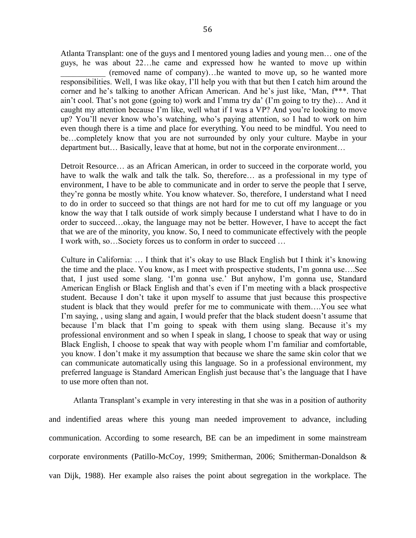Atlanta Transplant: one of the guys and I mentored young ladies and young men… one of the guys, he was about 22…he came and expressed how he wanted to move up within \_\_\_\_\_\_\_\_\_\_\_ (removed name of company)…he wanted to move up, so he wanted more responsibilities. Well, I was like okay, I"ll help you with that but then I catch him around the corner and he's talking to another African American. And he's just like, 'Man,  $f^{***}$ . That ain't cool. That's not gone (going to) work and I'mma try da' (I'm going to try the)... And it caught my attention because I"m like, well what if I was a VP? And you"re looking to move up? You"ll never know who"s watching, who"s paying attention, so I had to work on him even though there is a time and place for everything. You need to be mindful. You need to be…completely know that you are not surrounded by only your culture. Maybe in your department but… Basically, leave that at home, but not in the corporate environment…

Detroit Resource… as an African American, in order to succeed in the corporate world, you have to walk the walk and talk the talk. So, therefore... as a professional in my type of environment, I have to be able to communicate and in order to serve the people that I serve, they"re gonna be mostly white. You know whatever. So, therefore, I understand what I need to do in order to succeed so that things are not hard for me to cut off my language or you know the way that I talk outside of work simply because I understand what I have to do in order to succeed…okay, the language may not be better. However, I have to accept the fact that we are of the minority, you know. So, I need to communicate effectively with the people I work with, so…Society forces us to conform in order to succeed …

Culture in California: ... I think that it's okay to use Black English but I think it's knowing the time and the place. You know, as I meet with prospective students, I"m gonna use….See that, I just used some slang. 'I'm gonna use.' But anyhow, I'm gonna use, Standard American English or Black English and that"s even if I"m meeting with a black prospective student. Because I don"t take it upon myself to assume that just because this prospective student is black that they would prefer for me to communicate with them….You see what I'm saying,, using slang and again, I would prefer that the black student doesn't assume that because I'm black that I'm going to speak with them using slang. Because it's my professional environment and so when I speak in slang, I choose to speak that way or using Black English, I choose to speak that way with people whom I"m familiar and comfortable, you know. I don"t make it my assumption that because we share the same skin color that we can communicate automatically using this language. So in a professional environment, my preferred language is Standard American English just because that"s the language that I have to use more often than not.

Atlanta Transplant"s example in very interesting in that she was in a position of authority and indentified areas where this young man needed improvement to advance, including communication. According to some research, BE can be an impediment in some mainstream corporate environments (Patillo-McCoy, 1999; Smitherman, 2006; Smitherman-Donaldson & van Dijk, 1988). Her example also raises the point about segregation in the workplace. The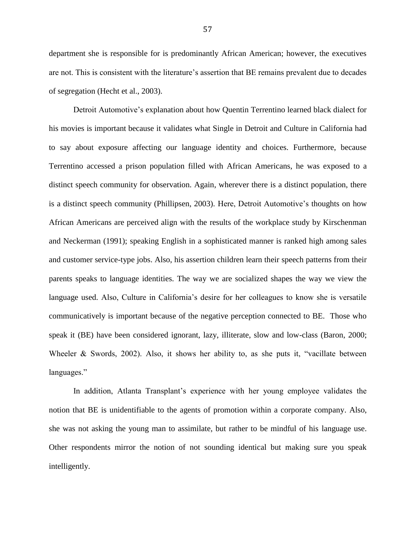department she is responsible for is predominantly African American; however, the executives are not. This is consistent with the literature"s assertion that BE remains prevalent due to decades of segregation (Hecht et al., 2003).

Detroit Automotive"s explanation about how Quentin Terrentino learned black dialect for his movies is important because it validates what Single in Detroit and Culture in California had to say about exposure affecting our language identity and choices. Furthermore, because Terrentino accessed a prison population filled with African Americans, he was exposed to a distinct speech community for observation. Again, wherever there is a distinct population, there is a distinct speech community (Phillipsen, 2003). Here, Detroit Automotive"s thoughts on how African Americans are perceived align with the results of the workplace study by Kirschenman and Neckerman (1991); speaking English in a sophisticated manner is ranked high among sales and customer service-type jobs. Also, his assertion children learn their speech patterns from their parents speaks to language identities. The way we are socialized shapes the way we view the language used. Also, Culture in California's desire for her colleagues to know she is versatile communicatively is important because of the negative perception connected to BE. Those who speak it (BE) have been considered ignorant, lazy, illiterate, slow and low-class (Baron, 2000; Wheeler & Swords, 2002). Also, it shows her ability to, as she puts it, "vacillate between languages."

In addition, Atlanta Transplant's experience with her young employee validates the notion that BE is unidentifiable to the agents of promotion within a corporate company. Also, she was not asking the young man to assimilate, but rather to be mindful of his language use. Other respondents mirror the notion of not sounding identical but making sure you speak intelligently.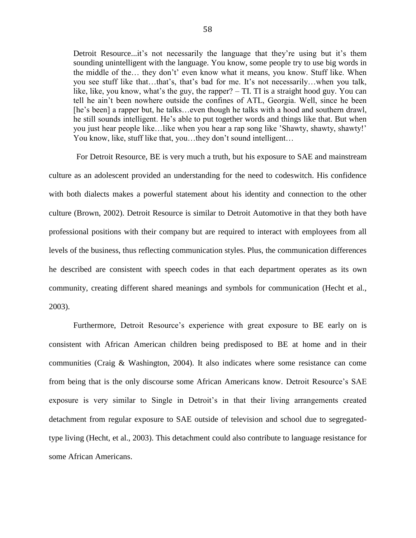Detroit Resource...it's not necessarily the language that they're using but it's them sounding unintelligent with the language. You know, some people try to use big words in the middle of the… they don"t" even know what it means, you know. Stuff like. When you see stuff like that…that"s, that"s bad for me. It"s not necessarily…when you talk, like, like, you know, what's the guy, the rapper?  $-$  TI. TI is a straight hood guy. You can tell he ain"t been nowhere outside the confines of ATL, Georgia. Well, since he been [he's been] a rapper but, he talks...even though he talks with a hood and southern drawl, he still sounds intelligent. He's able to put together words and things like that. But when you just hear people like…like when you hear a rap song like "Shawty, shawty, shawty!" You know, like, stuff like that, you...they don't sound intelligent...

For Detroit Resource, BE is very much a truth, but his exposure to SAE and mainstream culture as an adolescent provided an understanding for the need to codeswitch. His confidence with both dialects makes a powerful statement about his identity and connection to the other culture (Brown, 2002). Detroit Resource is similar to Detroit Automotive in that they both have professional positions with their company but are required to interact with employees from all levels of the business, thus reflecting communication styles. Plus, the communication differences he described are consistent with speech codes in that each department operates as its own community, creating different shared meanings and symbols for communication (Hecht et al., 2003).

Furthermore, Detroit Resource's experience with great exposure to BE early on is consistent with African American children being predisposed to BE at home and in their communities (Craig & Washington, 2004). It also indicates where some resistance can come from being that is the only discourse some African Americans know. Detroit Resource's SAE exposure is very similar to Single in Detroit's in that their living arrangements created detachment from regular exposure to SAE outside of television and school due to segregatedtype living (Hecht, et al., 2003). This detachment could also contribute to language resistance for some African Americans.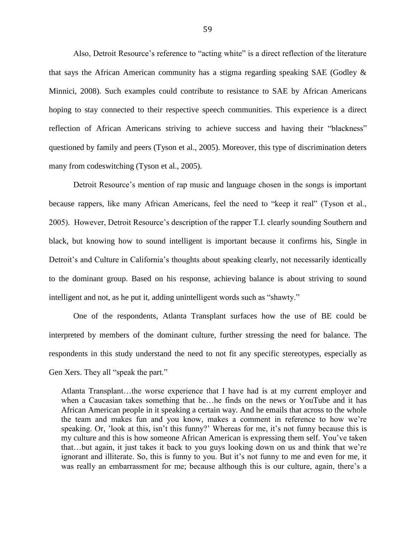Also, Detroit Resource's reference to "acting white" is a direct reflection of the literature that says the African American community has a stigma regarding speaking SAE (Godley  $\&$ Minnici, 2008). Such examples could contribute to resistance to SAE by African Americans hoping to stay connected to their respective speech communities. This experience is a direct reflection of African Americans striving to achieve success and having their "blackness" questioned by family and peers (Tyson et al., 2005). Moreover, this type of discrimination deters many from codeswitching (Tyson et al., 2005).

Detroit Resource's mention of rap music and language chosen in the songs is important because rappers, like many African Americans, feel the need to "keep it real" (Tyson et al., 2005). However, Detroit Resource"s description of the rapper T.I. clearly sounding Southern and black, but knowing how to sound intelligent is important because it confirms his, Single in Detroit's and Culture in California's thoughts about speaking clearly, not necessarily identically to the dominant group. Based on his response, achieving balance is about striving to sound intelligent and not, as he put it, adding unintelligent words such as "shawty."

One of the respondents, Atlanta Transplant surfaces how the use of BE could be interpreted by members of the dominant culture, further stressing the need for balance. The respondents in this study understand the need to not fit any specific stereotypes, especially as Gen Xers. They all "speak the part."

Atlanta Transplant…the worse experience that I have had is at my current employer and when a Caucasian takes something that he…he finds on the news or YouTube and it has African American people in it speaking a certain way. And he emails that across to the whole the team and makes fun and you know, makes a comment in reference to how we"re speaking. Or, 'look at this, isn't this funny?' Whereas for me, it's not funny because this is my culture and this is how someone African American is expressing them self. You"ve taken that…but again, it just takes it back to you guys looking down on us and think that we"re ignorant and illiterate. So, this is funny to you. But it's not funny to me and even for me, it was really an embarrassment for me; because although this is our culture, again, there"s a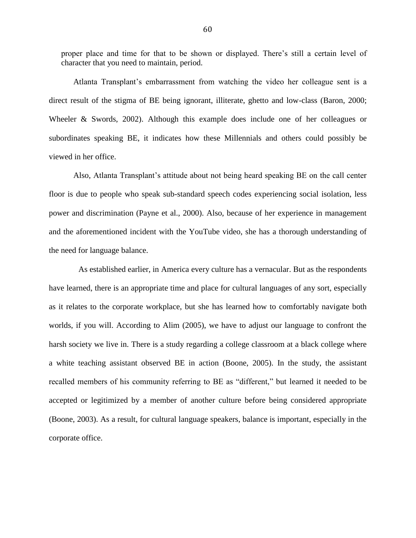proper place and time for that to be shown or displayed. There"s still a certain level of character that you need to maintain, period.

Atlanta Transplant"s embarrassment from watching the video her colleague sent is a direct result of the stigma of BE being ignorant, illiterate, ghetto and low-class (Baron, 2000; Wheeler & Swords, 2002). Although this example does include one of her colleagues or subordinates speaking BE, it indicates how these Millennials and others could possibly be viewed in her office.

Also, Atlanta Transplant's attitude about not being heard speaking BE on the call center floor is due to people who speak sub-standard speech codes experiencing social isolation, less power and discrimination (Payne et al., 2000). Also, because of her experience in management and the aforementioned incident with the YouTube video, she has a thorough understanding of the need for language balance.

As established earlier, in America every culture has a vernacular. But as the respondents have learned, there is an appropriate time and place for cultural languages of any sort, especially as it relates to the corporate workplace, but she has learned how to comfortably navigate both worlds, if you will. According to Alim (2005), we have to adjust our language to confront the harsh society we live in. There is a study regarding a college classroom at a black college where a white teaching assistant observed BE in action (Boone, 2005). In the study, the assistant recalled members of his community referring to BE as "different," but learned it needed to be accepted or legitimized by a member of another culture before being considered appropriate (Boone, 2003). As a result, for cultural language speakers, balance is important, especially in the corporate office.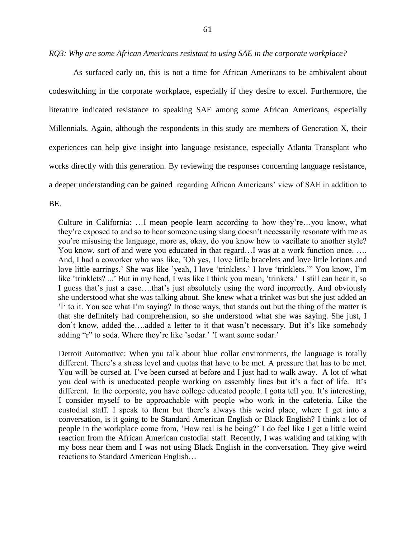*RQ3: Why are some African Americans resistant to using SAE in the corporate workplace?*

As surfaced early on, this is not a time for African Americans to be ambivalent about codeswitching in the corporate workplace, especially if they desire to excel. Furthermore, the literature indicated resistance to speaking SAE among some African Americans, especially Millennials. Again, although the respondents in this study are members of Generation X, their experiences can help give insight into language resistance, especially Atlanta Transplant who works directly with this generation. By reviewing the responses concerning language resistance, a deeper understanding can be gained regarding African Americans" view of SAE in addition to BE.

Culture in California: …I mean people learn according to how they"re…you know, what they"re exposed to and so to hear someone using slang doesn"t necessarily resonate with me as you"re misusing the language, more as, okay, do you know how to vacillate to another style? You know, sort of and were you educated in that regard…I was at a work function once. …. And, I had a coworker who was like, "Oh yes, I love little bracelets and love little lotions and love little earrings.' She was like 'yeah, I love 'trinklets.' I love 'trinklets.'" You know, I'm like 'trinklets? ...' But in my head, I was like I think you mean, 'trinkets.' I still can hear it, so I guess that's just a case....that's just absolutely using the word incorrectly. And obviously she understood what she was talking about. She knew what a trinket was but she just added an "l" to it. You see what I"m saying? In those ways, that stands out but the thing of the matter is that she definitely had comprehension, so she understood what she was saying. She just, I don't know, added the….added a letter to it that wasn't necessary. But it's like somebody adding "r" to soda. Where they're like 'sodar.' 'I want some sodar.'

Detroit Automotive: When you talk about blue collar environments, the language is totally different. There's a stress level and quotas that have to be met. A pressure that has to be met. You will be cursed at. I've been cursed at before and I just had to walk away. A lot of what you deal with is uneducated people working on assembly lines but it's a fact of life. It's different. In the corporate, you have college educated people. I gotta tell you. It's interesting, I consider myself to be approachable with people who work in the cafeteria. Like the custodial staff. I speak to them but there"s always this weird place, where I get into a conversation, is it going to be Standard American English or Black English? I think a lot of people in the workplace come from, "How real is he being?" I do feel like I get a little weird reaction from the African American custodial staff. Recently, I was walking and talking with my boss near them and I was not using Black English in the conversation. They give weird reactions to Standard American English…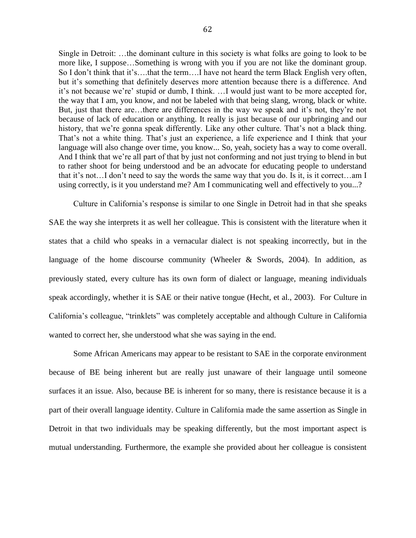Single in Detroit: …the dominant culture in this society is what folks are going to look to be more like, I suppose…Something is wrong with you if you are not like the dominant group. So I don't think that it's....that the term....I have not heard the term Black English very often, but it's something that definitely deserves more attention because there is a difference. And it's not because we're' stupid or dumb, I think. ...I would just want to be more accepted for, the way that I am, you know, and not be labeled with that being slang, wrong, black or white. But, just that there are...there are differences in the way we speak and it's not, they're not because of lack of education or anything. It really is just because of our upbringing and our history, that we're gonna speak differently. Like any other culture. That's not a black thing. That's not a white thing. That's just an experience, a life experience and I think that your language will also change over time, you know... So, yeah, society has a way to come overall. And I think that we"re all part of that by just not conforming and not just trying to blend in but to rather shoot for being understood and be an advocate for educating people to understand that it"s not…I don"t need to say the words the same way that you do. Is it, is it correct…am I using correctly, is it you understand me? Am I communicating well and effectively to you...?

Culture in California"s response is similar to one Single in Detroit had in that she speaks SAE the way she interprets it as well her colleague. This is consistent with the literature when it states that a child who speaks in a vernacular dialect is not speaking incorrectly, but in the language of the home discourse community (Wheeler  $\&$  Swords, 2004). In addition, as previously stated, every culture has its own form of dialect or language, meaning individuals speak accordingly, whether it is SAE or their native tongue (Hecht, et al., 2003). For Culture in California"s colleague, "trinklets" was completely acceptable and although Culture in California wanted to correct her, she understood what she was saying in the end.

Some African Americans may appear to be resistant to SAE in the corporate environment because of BE being inherent but are really just unaware of their language until someone surfaces it an issue. Also, because BE is inherent for so many, there is resistance because it is a part of their overall language identity. Culture in California made the same assertion as Single in Detroit in that two individuals may be speaking differently, but the most important aspect is mutual understanding. Furthermore, the example she provided about her colleague is consistent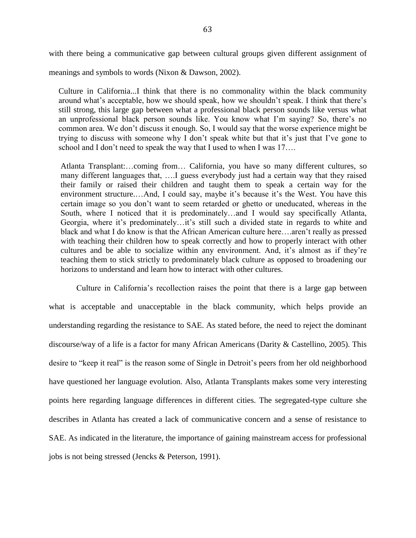with there being a communicative gap between cultural groups given different assignment of

meanings and symbols to words (Nixon & Dawson, 2002).

Culture in California...I think that there is no commonality within the black community around what"s acceptable, how we should speak, how we shouldn"t speak. I think that there"s still strong, this large gap between what a professional black person sounds like versus what an unprofessional black person sounds like. You know what I"m saying? So, there"s no common area. We don"t discuss it enough. So, I would say that the worse experience might be trying to discuss with someone why I don"t speak white but that it"s just that I"ve gone to school and I don't need to speak the way that I used to when I was 17...

Atlanta Transplant:…coming from… California, you have so many different cultures, so many different languages that, ….I guess everybody just had a certain way that they raised their family or raised their children and taught them to speak a certain way for the environment structure....And, I could say, maybe it's because it's the West. You have this certain image so you don"t want to seem retarded or ghetto or uneducated, whereas in the South, where I noticed that it is predominately…and I would say specifically Atlanta, Georgia, where it's predominately...it's still such a divided state in regards to white and black and what I do know is that the African American culture here….aren"t really as pressed with teaching their children how to speak correctly and how to properly interact with other cultures and be able to socialize within any environment. And, it's almost as if they're teaching them to stick strictly to predominately black culture as opposed to broadening our horizons to understand and learn how to interact with other cultures.

Culture in California"s recollection raises the point that there is a large gap between what is acceptable and unacceptable in the black community, which helps provide an understanding regarding the resistance to SAE. As stated before, the need to reject the dominant discourse/way of a life is a factor for many African Americans (Darity & Castellino, 2005). This desire to "keep it real" is the reason some of Single in Detroit's peers from her old neighborhood have questioned her language evolution. Also, Atlanta Transplants makes some very interesting points here regarding language differences in different cities. The segregated-type culture she describes in Atlanta has created a lack of communicative concern and a sense of resistance to SAE. As indicated in the literature, the importance of gaining mainstream access for professional jobs is not being stressed (Jencks & Peterson, 1991).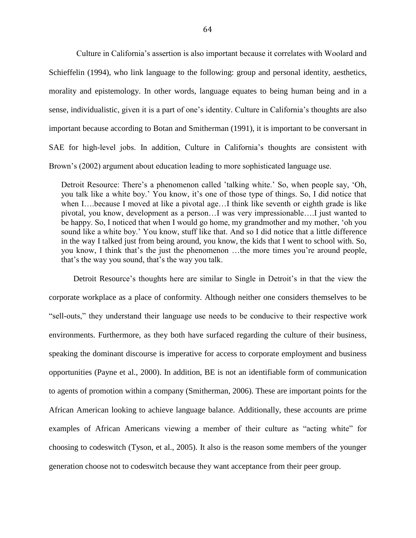Culture in California"s assertion is also important because it correlates with Woolard and Schieffelin (1994), who link language to the following: group and personal identity, aesthetics, morality and epistemology. In other words, language equates to being human being and in a sense, individualistic, given it is a part of one's identity. Culture in California's thoughts are also important because according to Botan and Smitherman (1991), it is important to be conversant in SAE for high-level jobs. In addition, Culture in California's thoughts are consistent with Brown"s (2002) argument about education leading to more sophisticated language use.

Detroit Resource: There's a phenomenon called 'talking white.' So, when people say, 'Oh, you talk like a white boy.' You know, it's one of those type of things. So, I did notice that when I….because I moved at like a pivotal age…I think like seventh or eighth grade is like pivotal, you know, development as a person…I was very impressionable….I just wanted to be happy. So, I noticed that when I would go home, my grandmother and my mother, "oh you sound like a white boy." You know, stuff like that. And so I did notice that a little difference in the way I talked just from being around, you know, the kids that I went to school with. So, you know, I think that"s the just the phenomenon …the more times you"re around people, that's the way you sound, that's the way you talk.

Detroit Resource's thoughts here are similar to Single in Detroit's in that the view the corporate workplace as a place of conformity. Although neither one considers themselves to be "sell-outs," they understand their language use needs to be conducive to their respective work environments. Furthermore, as they both have surfaced regarding the culture of their business, speaking the dominant discourse is imperative for access to corporate employment and business opportunities (Payne et al., 2000). In addition, BE is not an identifiable form of communication to agents of promotion within a company (Smitherman, 2006). These are important points for the African American looking to achieve language balance. Additionally, these accounts are prime examples of African Americans viewing a member of their culture as "acting white" for choosing to codeswitch (Tyson, et al., 2005). It also is the reason some members of the younger generation choose not to codeswitch because they want acceptance from their peer group.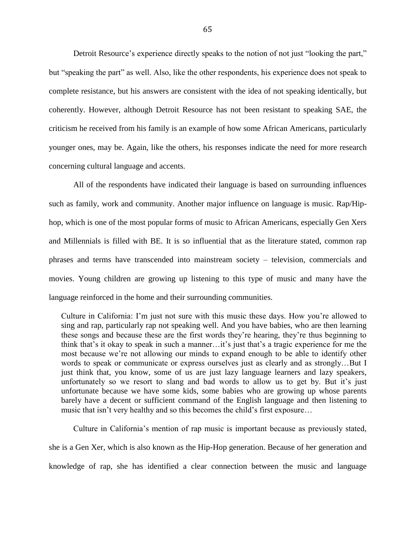Detroit Resource's experience directly speaks to the notion of not just "looking the part," but "speaking the part" as well. Also, like the other respondents, his experience does not speak to complete resistance, but his answers are consistent with the idea of not speaking identically, but coherently. However, although Detroit Resource has not been resistant to speaking SAE, the criticism he received from his family is an example of how some African Americans, particularly younger ones, may be. Again, like the others, his responses indicate the need for more research concerning cultural language and accents.

All of the respondents have indicated their language is based on surrounding influences such as family, work and community. Another major influence on language is music. Rap/Hiphop, which is one of the most popular forms of music to African Americans, especially Gen Xers and Millennials is filled with BE. It is so influential that as the literature stated, common rap phrases and terms have transcended into mainstream society – television, commercials and movies. Young children are growing up listening to this type of music and many have the language reinforced in the home and their surrounding communities.

Culture in California: I"m just not sure with this music these days. How you"re allowed to sing and rap, particularly rap not speaking well. And you have babies, who are then learning these songs and because these are the first words they"re hearing, they"re thus beginning to think that"s it okay to speak in such a manner…it"s just that"s a tragic experience for me the most because we"re not allowing our minds to expand enough to be able to identify other words to speak or communicate or express ourselves just as clearly and as strongly…But I just think that, you know, some of us are just lazy language learners and lazy speakers, unfortunately so we resort to slang and bad words to allow us to get by. But it's just unfortunate because we have some kids, some babies who are growing up whose parents barely have a decent or sufficient command of the English language and then listening to music that isn't very healthy and so this becomes the child's first exposure...

Culture in California"s mention of rap music is important because as previously stated, she is a Gen Xer, which is also known as the Hip-Hop generation. Because of her generation and knowledge of rap, she has identified a clear connection between the music and language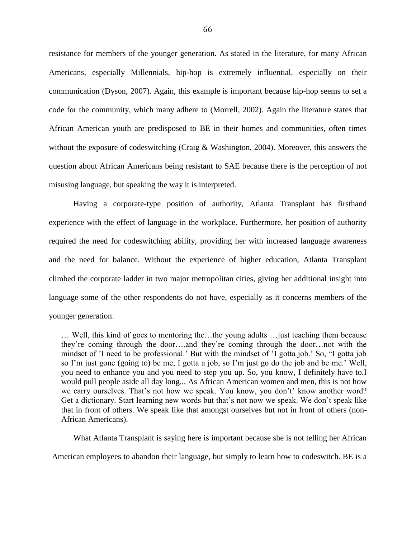resistance for members of the younger generation. As stated in the literature, for many African Americans, especially Millennials, hip-hop is extremely influential, especially on their communication (Dyson, 2007). Again, this example is important because hip-hop seems to set a code for the community, which many adhere to (Morrell, 2002). Again the literature states that African American youth are predisposed to BE in their homes and communities, often times without the exposure of codeswitching (Craig & Washington, 2004). Moreover, this answers the question about African Americans being resistant to SAE because there is the perception of not misusing language, but speaking the way it is interpreted.

Having a corporate-type position of authority, Atlanta Transplant has firsthand experience with the effect of language in the workplace. Furthermore, her position of authority required the need for codeswitching ability, providing her with increased language awareness and the need for balance. Without the experience of higher education, Atlanta Transplant climbed the corporate ladder in two major metropolitan cities, giving her additional insight into language some of the other respondents do not have, especially as it concerns members of the younger generation.

… Well, this kind of goes to mentoring the…the young adults …just teaching them because they"re coming through the door….and they"re coming through the door…not with the mindset of "I need to be professional." But with the mindset of "I gotta job." So, "I gotta job so I"m just gone (going to) be me, I gotta a job, so I"m just go do the job and be me." Well, you need to enhance you and you need to step you up. So, you know, I definitely have to.I would pull people aside all day long... As African American women and men, this is not how we carry ourselves. That's not how we speak. You know, you don't' know another word? Get a dictionary. Start learning new words but that"s not now we speak. We don"t speak like that in front of others. We speak like that amongst ourselves but not in front of others (non-African Americans).

What Atlanta Transplant is saying here is important because she is not telling her African

American employees to abandon their language, but simply to learn how to codeswitch. BE is a

66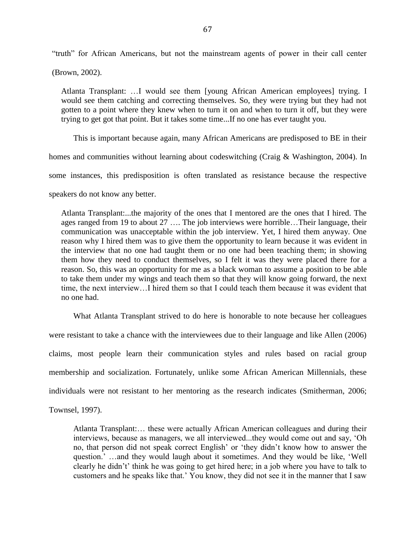"truth" for African Americans, but not the mainstream agents of power in their call center

(Brown, 2002).

Atlanta Transplant: …I would see them [young African American employees] trying. I would see them catching and correcting themselves. So, they were trying but they had not gotten to a point where they knew when to turn it on and when to turn it off, but they were trying to get got that point. But it takes some time...If no one has ever taught you.

This is important because again, many African Americans are predisposed to BE in their homes and communities without learning about codeswitching (Craig & Washington, 2004). In some instances, this predisposition is often translated as resistance because the respective speakers do not know any better.

Atlanta Transplant:...the majority of the ones that I mentored are the ones that I hired. The ages ranged from 19 to about 27 …. The job interviews were horrible…Their language, their communication was unacceptable within the job interview. Yet, I hired them anyway. One reason why I hired them was to give them the opportunity to learn because it was evident in the interview that no one had taught them or no one had been teaching them; in showing them how they need to conduct themselves, so I felt it was they were placed there for a reason. So, this was an opportunity for me as a black woman to assume a position to be able to take them under my wings and teach them so that they will know going forward, the next time, the next interview…I hired them so that I could teach them because it was evident that no one had.

What Atlanta Transplant strived to do here is honorable to note because her colleagues were resistant to take a chance with the interviewees due to their language and like Allen (2006) claims, most people learn their communication styles and rules based on racial group membership and socialization. Fortunately, unlike some African American Millennials, these individuals were not resistant to her mentoring as the research indicates (Smitherman, 2006;

Townsel, 1997).

Atlanta Transplant:… these were actually African American colleagues and during their interviews, because as managers, we all interviewed...they would come out and say, "Oh no, that person did not speak correct English" or "they didn"t know how to answer the question." …and they would laugh about it sometimes. And they would be like, "Well clearly he didn"t" think he was going to get hired here; in a job where you have to talk to customers and he speaks like that." You know, they did not see it in the manner that I saw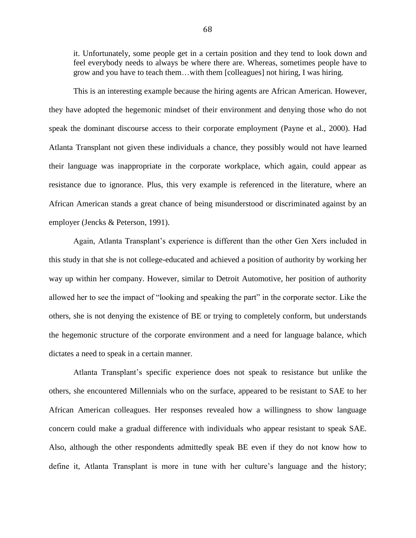it. Unfortunately, some people get in a certain position and they tend to look down and feel everybody needs to always be where there are. Whereas, sometimes people have to grow and you have to teach them…with them [colleagues] not hiring, I was hiring.

This is an interesting example because the hiring agents are African American. However, they have adopted the hegemonic mindset of their environment and denying those who do not speak the dominant discourse access to their corporate employment (Payne et al., 2000). Had Atlanta Transplant not given these individuals a chance, they possibly would not have learned their language was inappropriate in the corporate workplace, which again, could appear as resistance due to ignorance. Plus, this very example is referenced in the literature, where an African American stands a great chance of being misunderstood or discriminated against by an employer (Jencks & Peterson, 1991).

Again, Atlanta Transplant's experience is different than the other Gen Xers included in this study in that she is not college-educated and achieved a position of authority by working her way up within her company. However, similar to Detroit Automotive, her position of authority allowed her to see the impact of "looking and speaking the part" in the corporate sector. Like the others, she is not denying the existence of BE or trying to completely conform, but understands the hegemonic structure of the corporate environment and a need for language balance, which dictates a need to speak in a certain manner.

Atlanta Transplant"s specific experience does not speak to resistance but unlike the others, she encountered Millennials who on the surface, appeared to be resistant to SAE to her African American colleagues. Her responses revealed how a willingness to show language concern could make a gradual difference with individuals who appear resistant to speak SAE. Also, although the other respondents admittedly speak BE even if they do not know how to define it, Atlanta Transplant is more in tune with her culture"s language and the history;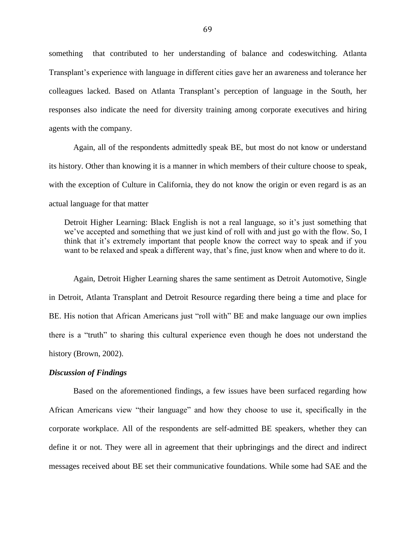something that contributed to her understanding of balance and codeswitching. Atlanta Transplant"s experience with language in different cities gave her an awareness and tolerance her colleagues lacked. Based on Atlanta Transplant's perception of language in the South, her responses also indicate the need for diversity training among corporate executives and hiring agents with the company.

Again, all of the respondents admittedly speak BE, but most do not know or understand its history. Other than knowing it is a manner in which members of their culture choose to speak, with the exception of Culture in California, they do not know the origin or even regard is as an actual language for that matter

Detroit Higher Learning: Black English is not a real language, so it's just something that we"ve accepted and something that we just kind of roll with and just go with the flow. So, I think that it's extremely important that people know the correct way to speak and if you want to be relaxed and speak a different way, that's fine, just know when and where to do it.

Again, Detroit Higher Learning shares the same sentiment as Detroit Automotive, Single in Detroit, Atlanta Transplant and Detroit Resource regarding there being a time and place for BE. His notion that African Americans just "roll with" BE and make language our own implies there is a "truth" to sharing this cultural experience even though he does not understand the history (Brown, 2002).

### *Discussion of Findings*

Based on the aforementioned findings, a few issues have been surfaced regarding how African Americans view "their language" and how they choose to use it, specifically in the corporate workplace. All of the respondents are self-admitted BE speakers, whether they can define it or not. They were all in agreement that their upbringings and the direct and indirect messages received about BE set their communicative foundations. While some had SAE and the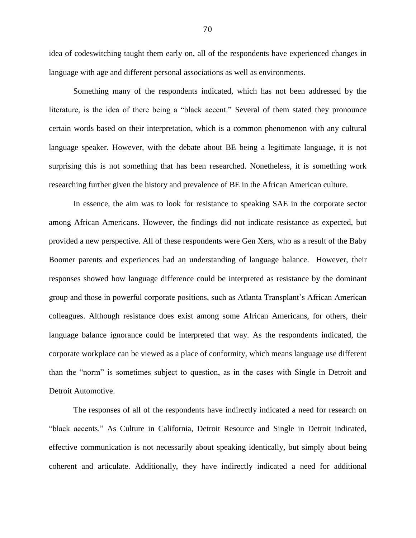idea of codeswitching taught them early on, all of the respondents have experienced changes in language with age and different personal associations as well as environments.

Something many of the respondents indicated, which has not been addressed by the literature, is the idea of there being a "black accent." Several of them stated they pronounce certain words based on their interpretation, which is a common phenomenon with any cultural language speaker. However, with the debate about BE being a legitimate language, it is not surprising this is not something that has been researched. Nonetheless, it is something work researching further given the history and prevalence of BE in the African American culture.

In essence, the aim was to look for resistance to speaking SAE in the corporate sector among African Americans. However, the findings did not indicate resistance as expected, but provided a new perspective. All of these respondents were Gen Xers, who as a result of the Baby Boomer parents and experiences had an understanding of language balance. However, their responses showed how language difference could be interpreted as resistance by the dominant group and those in powerful corporate positions, such as Atlanta Transplant"s African American colleagues. Although resistance does exist among some African Americans, for others, their language balance ignorance could be interpreted that way. As the respondents indicated, the corporate workplace can be viewed as a place of conformity, which means language use different than the "norm" is sometimes subject to question, as in the cases with Single in Detroit and Detroit Automotive.

The responses of all of the respondents have indirectly indicated a need for research on "black accents." As Culture in California, Detroit Resource and Single in Detroit indicated, effective communication is not necessarily about speaking identically, but simply about being coherent and articulate. Additionally, they have indirectly indicated a need for additional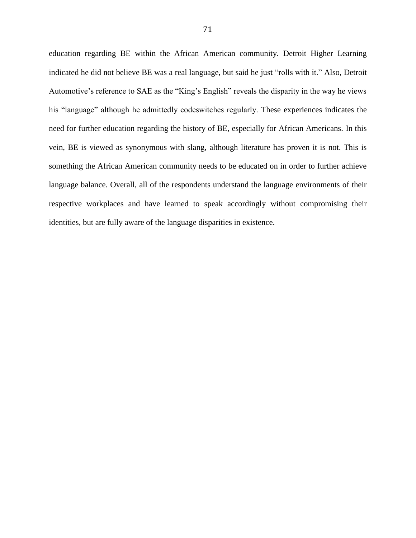education regarding BE within the African American community. Detroit Higher Learning indicated he did not believe BE was a real language, but said he just "rolls with it." Also, Detroit Automotive"s reference to SAE as the "King"s English" reveals the disparity in the way he views his "language" although he admittedly codeswitches regularly. These experiences indicates the need for further education regarding the history of BE, especially for African Americans. In this vein, BE is viewed as synonymous with slang, although literature has proven it is not. This is something the African American community needs to be educated on in order to further achieve language balance. Overall, all of the respondents understand the language environments of their respective workplaces and have learned to speak accordingly without compromising their identities, but are fully aware of the language disparities in existence.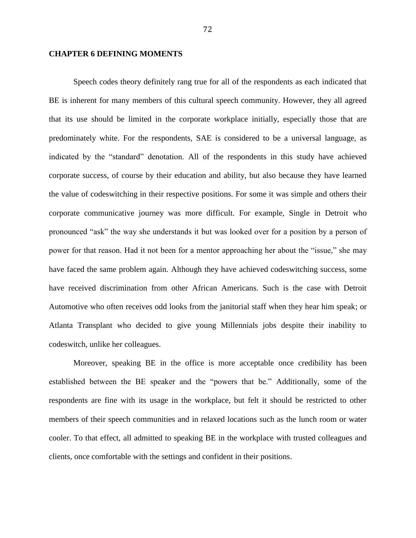### **CHAPTER 6 DEFINING MOMENTS**

Speech codes theory definitely rang true for all of the respondents as each indicated that BE is inherent for many members of this cultural speech community. However, they all agreed that its use should be limited in the corporate workplace initially, especially those that are predominately white. For the respondents, SAE is considered to be a universal language, as indicated by the "standard" denotation. All of the respondents in this study have achieved corporate success, of course by their education and ability, but also because they have learned the value of codeswitching in their respective positions. For some it was simple and others their corporate communicative journey was more difficult. For example, Single in Detroit who pronounced "ask" the way she understands it but was looked over for a position by a person of power for that reason. Had it not been for a mentor approaching her about the "issue," she may have faced the same problem again. Although they have achieved codeswitching success, some have received discrimination from other African Americans. Such is the case with Detroit Automotive who often receives odd looks from the janitorial staff when they hear him speak; or Atlanta Transplant who decided to give young Millennials jobs despite their inability to codeswitch, unlike her colleagues.

Moreover, speaking BE in the office is more acceptable once credibility has been established between the BE speaker and the "powers that be." Additionally, some of the respondents are fine with its usage in the workplace, but felt it should be restricted to other members of their speech communities and in relaxed locations such as the lunch room or water cooler. To that effect, all admitted to speaking BE in the workplace with trusted colleagues and clients, once comfortable with the settings and confident in their positions.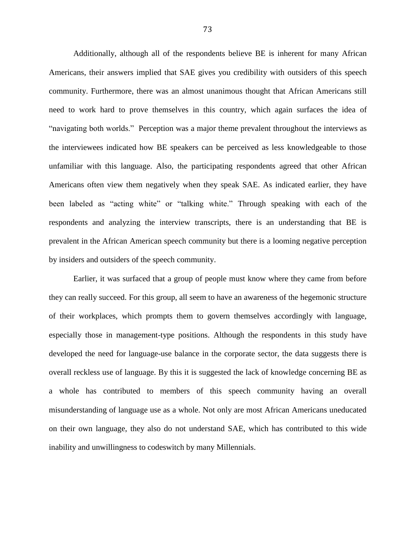Additionally, although all of the respondents believe BE is inherent for many African Americans, their answers implied that SAE gives you credibility with outsiders of this speech community. Furthermore, there was an almost unanimous thought that African Americans still need to work hard to prove themselves in this country, which again surfaces the idea of "navigating both worlds." Perception was a major theme prevalent throughout the interviews as the interviewees indicated how BE speakers can be perceived as less knowledgeable to those unfamiliar with this language. Also, the participating respondents agreed that other African Americans often view them negatively when they speak SAE. As indicated earlier, they have been labeled as "acting white" or "talking white." Through speaking with each of the respondents and analyzing the interview transcripts, there is an understanding that BE is prevalent in the African American speech community but there is a looming negative perception by insiders and outsiders of the speech community.

Earlier, it was surfaced that a group of people must know where they came from before they can really succeed. For this group, all seem to have an awareness of the hegemonic structure of their workplaces, which prompts them to govern themselves accordingly with language, especially those in management-type positions. Although the respondents in this study have developed the need for language-use balance in the corporate sector, the data suggests there is overall reckless use of language. By this it is suggested the lack of knowledge concerning BE as a whole has contributed to members of this speech community having an overall misunderstanding of language use as a whole. Not only are most African Americans uneducated on their own language, they also do not understand SAE, which has contributed to this wide inability and unwillingness to codeswitch by many Millennials.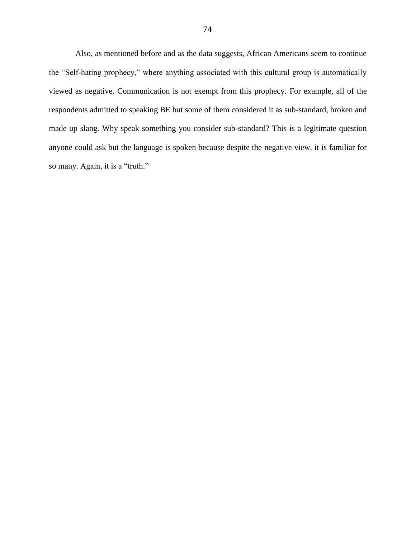Also, as mentioned before and as the data suggests, African Americans seem to continue the "Self-hating prophecy," where anything associated with this cultural group is automatically viewed as negative. Communication is not exempt from this prophecy. For example, all of the respondents admitted to speaking BE but some of them considered it as sub-standard, broken and made up slang. Why speak something you consider sub-standard? This is a legitimate question anyone could ask but the language is spoken because despite the negative view, it is familiar for so many. Again, it is a "truth."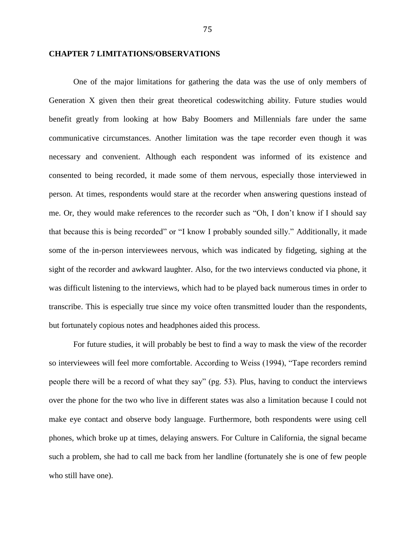### **CHAPTER 7 LIMITATIONS/OBSERVATIONS**

One of the major limitations for gathering the data was the use of only members of Generation X given then their great theoretical codeswitching ability. Future studies would benefit greatly from looking at how Baby Boomers and Millennials fare under the same communicative circumstances. Another limitation was the tape recorder even though it was necessary and convenient. Although each respondent was informed of its existence and consented to being recorded, it made some of them nervous, especially those interviewed in person. At times, respondents would stare at the recorder when answering questions instead of me. Or, they would make references to the recorder such as "Oh, I don"t know if I should say that because this is being recorded" or "I know I probably sounded silly." Additionally, it made some of the in-person interviewees nervous, which was indicated by fidgeting, sighing at the sight of the recorder and awkward laughter. Also, for the two interviews conducted via phone, it was difficult listening to the interviews, which had to be played back numerous times in order to transcribe. This is especially true since my voice often transmitted louder than the respondents, but fortunately copious notes and headphones aided this process.

For future studies, it will probably be best to find a way to mask the view of the recorder so interviewees will feel more comfortable. According to Weiss (1994), "Tape recorders remind people there will be a record of what they say" (pg. 53). Plus, having to conduct the interviews over the phone for the two who live in different states was also a limitation because I could not make eye contact and observe body language. Furthermore, both respondents were using cell phones, which broke up at times, delaying answers. For Culture in California, the signal became such a problem, she had to call me back from her landline (fortunately she is one of few people who still have one).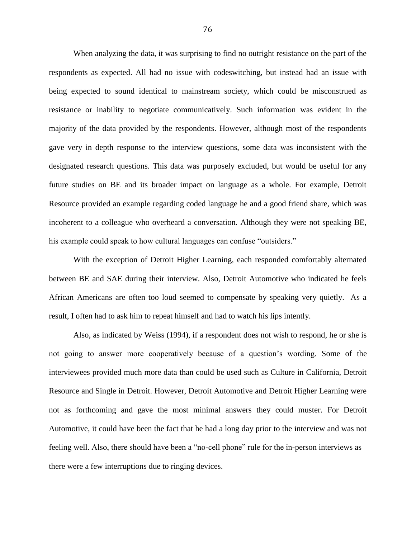When analyzing the data, it was surprising to find no outright resistance on the part of the respondents as expected. All had no issue with codeswitching, but instead had an issue with being expected to sound identical to mainstream society, which could be misconstrued as resistance or inability to negotiate communicatively. Such information was evident in the majority of the data provided by the respondents. However, although most of the respondents gave very in depth response to the interview questions, some data was inconsistent with the designated research questions. This data was purposely excluded, but would be useful for any future studies on BE and its broader impact on language as a whole. For example, Detroit Resource provided an example regarding coded language he and a good friend share, which was incoherent to a colleague who overheard a conversation. Although they were not speaking BE, his example could speak to how cultural languages can confuse "outsiders."

With the exception of Detroit Higher Learning, each responded comfortably alternated between BE and SAE during their interview. Also, Detroit Automotive who indicated he feels African Americans are often too loud seemed to compensate by speaking very quietly. As a result, I often had to ask him to repeat himself and had to watch his lips intently.

Also, as indicated by Weiss (1994), if a respondent does not wish to respond, he or she is not going to answer more cooperatively because of a question"s wording. Some of the interviewees provided much more data than could be used such as Culture in California, Detroit Resource and Single in Detroit. However, Detroit Automotive and Detroit Higher Learning were not as forthcoming and gave the most minimal answers they could muster. For Detroit Automotive, it could have been the fact that he had a long day prior to the interview and was not feeling well. Also, there should have been a "no-cell phone" rule for the in-person interviews as there were a few interruptions due to ringing devices.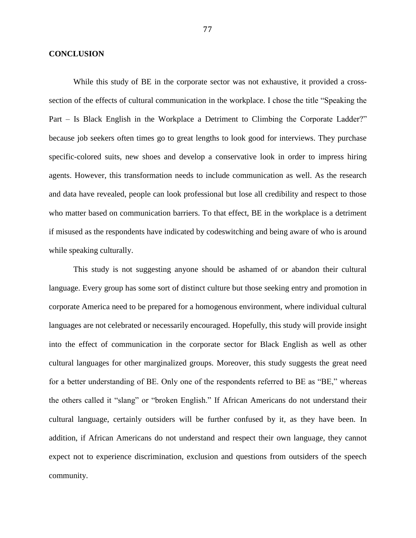### **CONCLUSION**

While this study of BE in the corporate sector was not exhaustive, it provided a crosssection of the effects of cultural communication in the workplace. I chose the title "Speaking the Part – Is Black English in the Workplace a Detriment to Climbing the Corporate Ladder?" because job seekers often times go to great lengths to look good for interviews. They purchase specific-colored suits, new shoes and develop a conservative look in order to impress hiring agents. However, this transformation needs to include communication as well. As the research and data have revealed, people can look professional but lose all credibility and respect to those who matter based on communication barriers. To that effect, BE in the workplace is a detriment if misused as the respondents have indicated by codeswitching and being aware of who is around while speaking culturally.

This study is not suggesting anyone should be ashamed of or abandon their cultural language. Every group has some sort of distinct culture but those seeking entry and promotion in corporate America need to be prepared for a homogenous environment, where individual cultural languages are not celebrated or necessarily encouraged. Hopefully, this study will provide insight into the effect of communication in the corporate sector for Black English as well as other cultural languages for other marginalized groups. Moreover, this study suggests the great need for a better understanding of BE. Only one of the respondents referred to BE as "BE," whereas the others called it "slang" or "broken English." If African Americans do not understand their cultural language, certainly outsiders will be further confused by it, as they have been. In addition, if African Americans do not understand and respect their own language, they cannot expect not to experience discrimination, exclusion and questions from outsiders of the speech community.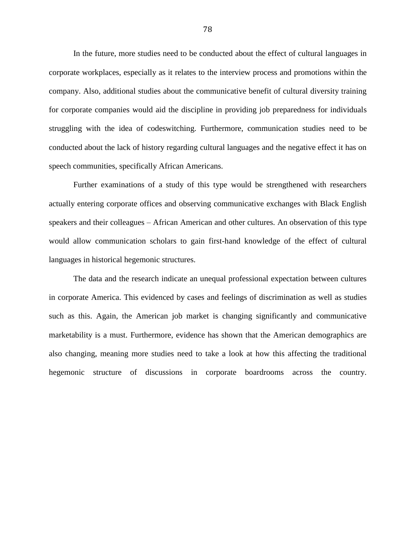In the future, more studies need to be conducted about the effect of cultural languages in corporate workplaces, especially as it relates to the interview process and promotions within the company. Also, additional studies about the communicative benefit of cultural diversity training for corporate companies would aid the discipline in providing job preparedness for individuals struggling with the idea of codeswitching. Furthermore, communication studies need to be conducted about the lack of history regarding cultural languages and the negative effect it has on speech communities, specifically African Americans.

Further examinations of a study of this type would be strengthened with researchers actually entering corporate offices and observing communicative exchanges with Black English speakers and their colleagues – African American and other cultures. An observation of this type would allow communication scholars to gain first-hand knowledge of the effect of cultural languages in historical hegemonic structures.

The data and the research indicate an unequal professional expectation between cultures in corporate America. This evidenced by cases and feelings of discrimination as well as studies such as this. Again, the American job market is changing significantly and communicative marketability is a must. Furthermore, evidence has shown that the American demographics are also changing, meaning more studies need to take a look at how this affecting the traditional hegemonic structure of discussions in corporate boardrooms across the country.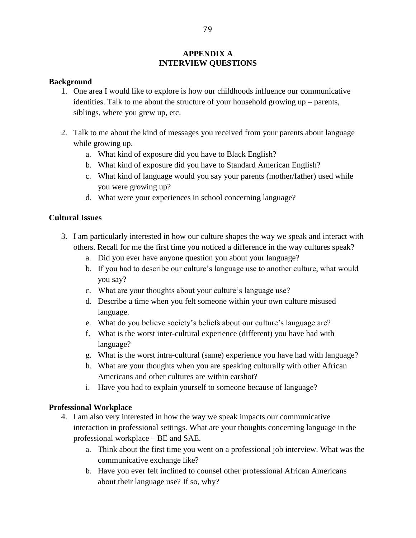# **APPENDIX A INTERVIEW QUESTIONS**

## **Background**

- 1. One area I would like to explore is how our childhoods influence our communicative identities. Talk to me about the structure of your household growing up – parents, siblings, where you grew up, etc.
- 2. Talk to me about the kind of messages you received from your parents about language while growing up.
	- a. What kind of exposure did you have to Black English?
	- b. What kind of exposure did you have to Standard American English?
	- c. What kind of language would you say your parents (mother/father) used while you were growing up?
	- d. What were your experiences in school concerning language?

# **Cultural Issues**

- 3. I am particularly interested in how our culture shapes the way we speak and interact with others. Recall for me the first time you noticed a difference in the way cultures speak?
	- a. Did you ever have anyone question you about your language?
	- b. If you had to describe our culture's language use to another culture, what would you say?
	- c. What are your thoughts about your culture"s language use?
	- d. Describe a time when you felt someone within your own culture misused language.
	- e. What do you believe society"s beliefs about our culture"s language are?
	- f. What is the worst inter-cultural experience (different) you have had with language?
	- g. What is the worst intra-cultural (same) experience you have had with language?
	- h. What are your thoughts when you are speaking culturally with other African Americans and other cultures are within earshot?
	- i. Have you had to explain yourself to someone because of language?

## **Professional Workplace**

- 4. I am also very interested in how the way we speak impacts our communicative interaction in professional settings. What are your thoughts concerning language in the professional workplace – BE and SAE.
	- a. Think about the first time you went on a professional job interview. What was the communicative exchange like?
	- b. Have you ever felt inclined to counsel other professional African Americans about their language use? If so, why?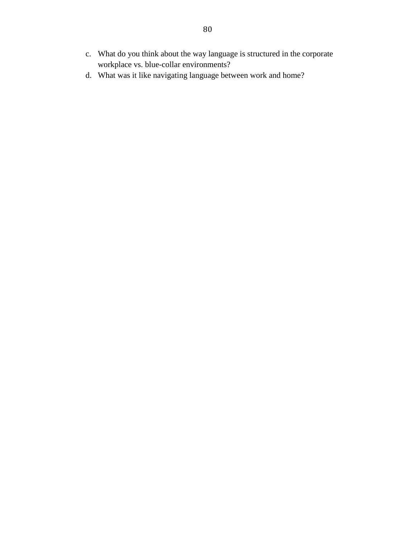- c. What do you think about the way language is structured in the corporate workplace vs. blue-collar environments?
- d. What was it like navigating language between work and home?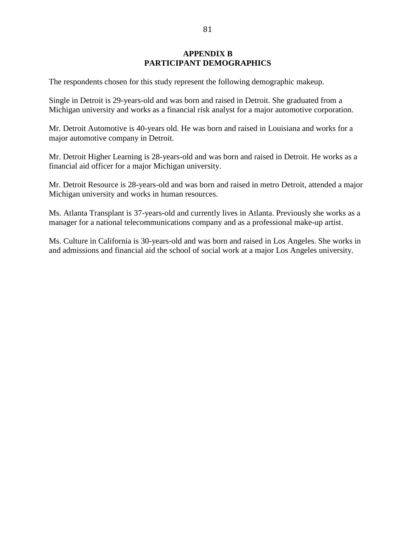# **APPENDIX B PARTICIPANT DEMOGRAPHICS**

The respondents chosen for this study represent the following demographic makeup.

Single in Detroit is 29-years-old and was born and raised in Detroit. She graduated from a Michigan university and works as a financial risk analyst for a major automotive corporation.

Mr. Detroit Automotive is 40-years old. He was born and raised in Louisiana and works for a major automotive company in Detroit.

Mr. Detroit Higher Learning is 28-years-old and was born and raised in Detroit. He works as a financial aid officer for a major Michigan university.

Mr. Detroit Resource is 28-years-old and was born and raised in metro Detroit, attended a major Michigan university and works in human resources.

Ms. Atlanta Transplant is 37-years-old and currently lives in Atlanta. Previously she works as a manager for a national telecommunications company and as a professional make-up artist.

Ms. Culture in California is 30-years-old and was born and raised in Los Angeles. She works in and admissions and financial aid the school of social work at a major Los Angeles university.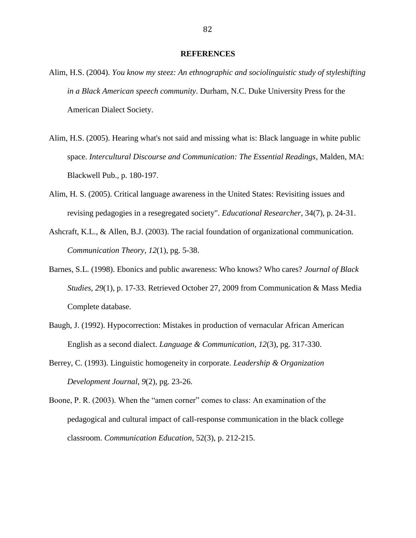#### **REFERENCES**

- Alim, H.S. (2004). *You know my steez: An ethnographic and sociolinguistic study of styleshifting in a Black American speech community*. Durham, N.C. Duke University Press for the American Dialect Society.
- Alim, H.S. (2005). Hearing what's not said and missing what is: Black language in white public space. *Intercultural Discourse and Communication: The Essential Readings*, Malden, MA: Blackwell Pub., p. 180-197.
- Alim, H. S. (2005). Critical language awareness in the United States: Revisiting issues and revising pedagogies in a resegregated society". *Educational Researcher*, 34(7), p. 24-31.
- Ashcraft, K.L., & Allen, B.J. (2003). The racial foundation of organizational communication. *Communication Theory*, *12*(1), pg. 5-38.
- Barnes, S.L. (1998). Ebonics and public awareness: Who knows? Who cares? *Journal of Black Studies*, *29*(1), p. 17-33. Retrieved October 27, 2009 from Communication & Mass Media Complete database.
- Baugh, J. (1992). Hypocorrection: Mistakes in production of vernacular African American English as a second dialect. *Language & Communication*, *12*(3), pg. 317-330.
- Berrey, C. (1993). Linguistic homogeneity in corporate. *Leadership & Organization Development Journal*, *9*(2), pg. 23-26.
- Boone, P. R. (2003). When the "amen corner" comes to class: An examination of the pedagogical and cultural impact of call-response communication in the black college classroom. *Communication Education*, 52(3), p. 212-215.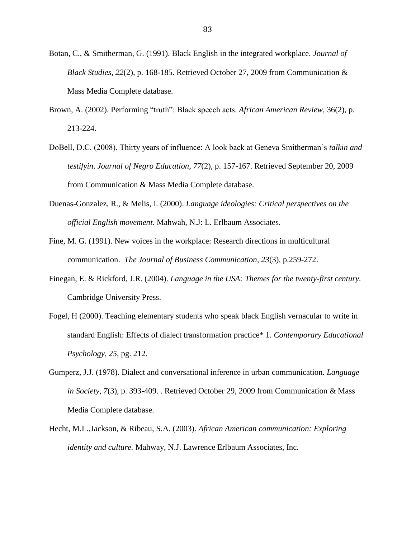- Botan, C., & Smitherman, G. (1991). Black English in the integrated workplace. *Journal of Black Studies*, *22*(2), p. 168-185. Retrieved October 27, 2009 from Communication & Mass Media Complete database.
- Brown, A. (2002). Performing "truth": Black speech acts. *African American Review*, 36(2), p. 213-224.
- DoBell, D.C. (2008). Thirty years of influence: A look back at Geneva Smitherman"s *talkin and testifyin*. *Journal of Negro Education*, *77*(2), p. 157-167. Retrieved September 20, 2009 from Communication & Mass Media Complete database.
- Duenas-Gonzalez, R., & Melis, I. (2000). *Language ideologies: Critical perspectives on the official English movement*. Mahwah, N.J: L. Erlbaum Associates.
- Fine, M. G. (1991). New voices in the workplace: Research directions in multicultural communication. *The Journal of Business Communication*, *23*(3), p.259-272.
- Finegan, E. & Rickford, J.R. (2004). *Language in the USA: Themes for the twenty-first century.*  Cambridge University Press.
- Fogel, H (2000). Teaching elementary students who speak black English vernacular to write in standard English: Effects of dialect transformation practice\* 1. *Contemporary Educational Psychology*, *25*, pg. 212.
- Gumperz, J.J. (1978). Dialect and conversational inference in urban communication. *Language in Society*, *7*(3), p. 393-409. . Retrieved October 29, 2009 from Communication & Mass Media Complete database.
- Hecht, M.L.,Jackson, & Ribeau, S.A. (2003). *African American communication: Exploring identity and culture.* Mahway, N.J. Lawrence Erlbaum Associates, Inc.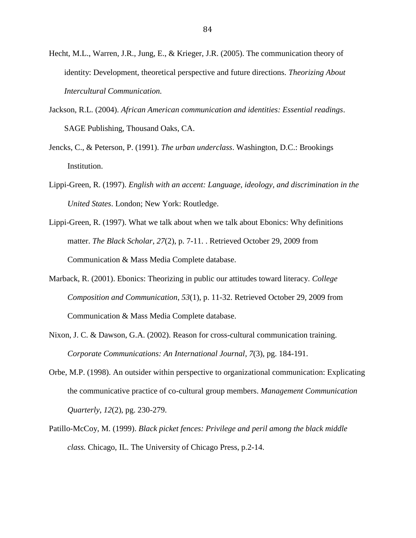- Hecht, M.L., Warren, J.R., Jung, E., & Krieger, J.R. (2005). The communication theory of identity: Development, theoretical perspective and future directions. *Theorizing About Intercultural Communication.*
- Jackson, R.L. (2004). *African American communication and identities: Essential readings*. SAGE Publishing, Thousand Oaks, CA.
- Jencks, C., & Peterson, P. (1991). *The urban underclass*. Washington, D.C.: Brookings Institution.
- Lippi-Green, R. (1997). *English with an accent: Language, ideology, and discrimination in the United States*. London; New York: Routledge.
- Lippi-Green, R. (1997). What we talk about when we talk about Ebonics: Why definitions matter. *The Black Scholar*, *27*(2), p. 7-11. . Retrieved October 29, 2009 from Communication & Mass Media Complete database.
- Marback, R. (2001). Ebonics: Theorizing in public our attitudes toward literacy. *College Composition and Communication*, *53*(1), p. 11-32. Retrieved October 29, 2009 from Communication & Mass Media Complete database.
- Nixon, J. C. & Dawson, G.A. (2002). Reason for cross-cultural communication training. *Corporate Communications: An International Journal*, *7*(3), pg. 184-191.
- Orbe, M.P. (1998). An outsider within perspective to organizational communication: Explicating the communicative practice of co-cultural group members. *Management Communication Quarterly*, *12*(2), pg. 230-279.
- Patillo-McCoy, M. (1999). *Black picket fences: Privilege and peril among the black middle class.* Chicago, IL. The University of Chicago Press, p.2-14.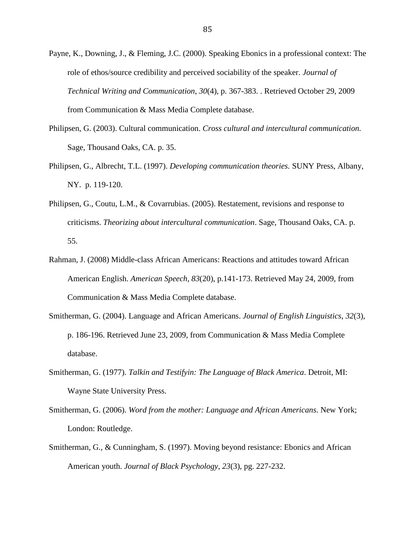- Payne, K., Downing, J., & Fleming, J.C. (2000). Speaking Ebonics in a professional context: The role of ethos/source credibility and perceived sociability of the speaker. *Journal of Technical Writing and Communication*, *30*(4), p. 367-383. . Retrieved October 29, 2009 from Communication & Mass Media Complete database.
- Philipsen, G. (2003). Cultural communication. *Cross cultural and intercultural communication.* Sage, Thousand Oaks, CA. p. 35.
- Philipsen, G., Albrecht, T.L. (1997). *Developing communication theories.* SUNY Press, Albany, NY. p. 119-120.
- Philipsen, G., Coutu, L.M., & Covarrubias. (2005). Restatement, revisions and response to criticisms. *Theorizing about intercultural communication*. Sage, Thousand Oaks, CA. p. 55.
- Rahman, J. (2008) Middle-class African Americans: Reactions and attitudes toward African American English. *American Speech*, *83*(20), p.141-173. Retrieved May 24, 2009, from Communication & Mass Media Complete database.
- Smitherman, G. (2004). Language and African Americans. *Journal of English Linguistics*, *32*(3), p. 186-196. Retrieved June 23, 2009, from Communication & Mass Media Complete database.
- Smitherman, G. (1977). *Talkin and Testifyin: The Language of Black America*. Detroit, MI: Wayne State University Press.
- Smitherman, G. (2006). *Word from the mother: Language and African Americans*. New York; London: Routledge.
- Smitherman, G., & Cunningham, S. (1997). Moving beyond resistance: Ebonics and African American youth. *Journal of Black Psychology*, *23*(3), pg. 227-232.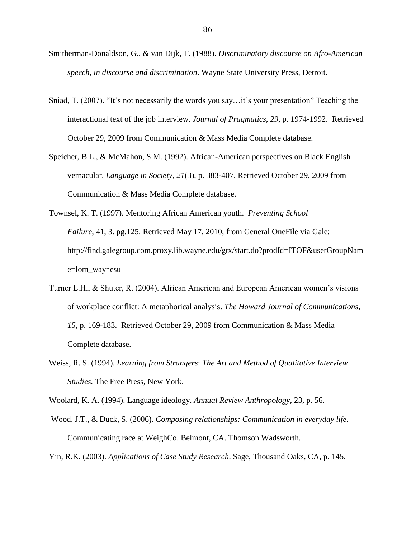- Smitherman-Donaldson, G., & van Dijk, T. (1988). *Discriminatory discourse on Afro-American speech, in discourse and discrimination*. Wayne State University Press, Detroit.
- Sniad, T. (2007). "It's not necessarily the words you say...it's your presentation" Teaching the interactional text of the job interview. *Journal of Pragmatics*, *29*, p. 1974-1992. Retrieved October 29, 2009 from Communication & Mass Media Complete database.
- Speicher, B.L., & McMahon, S.M. (1992). African-American perspectives on Black English vernacular. *Language in Society*, *21*(3), p. 383-407. Retrieved October 29, 2009 from Communication & Mass Media Complete database.
- Townsel, K. T. (1997). Mentoring African American youth. *Preventing School Failure*, 41, 3. pg.125. Retrieved May 17, 2010, from General OneFile via Gale: http://find.galegroup.com.proxy.lib.wayne.edu/gtx/start.do?prodId=ITOF&userGroupNam e=lom\_waynesu
- Turner L.H., & Shuter, R. (2004). African American and European American women"s visions of workplace conflict: A metaphorical analysis. *The Howard Journal of Communications*, *15*, p. 169-183. Retrieved October 29, 2009 from Communication & Mass Media Complete database.
- Weiss, R. S. (1994). *Learning from Strangers*: *The Art and Method of Qualitative Interview Studies.* The Free Press, New York.
- Woolard, K. A. (1994). Language ideology. *Annual Review Anthropology*, 23, p. 56.
- Wood, J.T., & Duck, S. (2006). *Composing relationships: Communication in everyday life.* Communicating race at WeighCo. Belmont, CA. Thomson Wadsworth.
- Yin, R.K. (2003). *Applications of Case Study Research*. Sage, Thousand Oaks, CA, p. 145.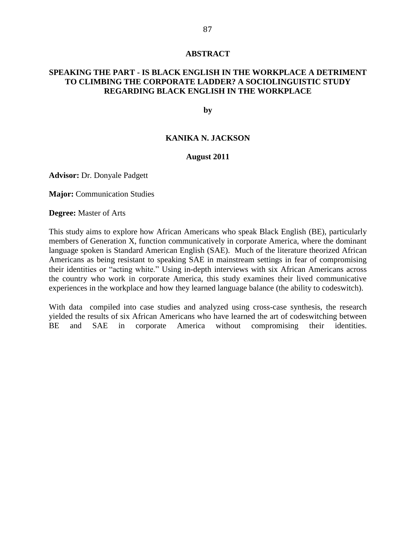### **ABSTRACT**

## **SPEAKING THE PART - IS BLACK ENGLISH IN THE WORKPLACE A DETRIMENT TO CLIMBING THE CORPORATE LADDER? A SOCIOLINGUISTIC STUDY REGARDING BLACK ENGLISH IN THE WORKPLACE**

**by**

### **KANIKA N. JACKSON**

## **August 2011**

**Advisor:** Dr. Donyale Padgett

**Major:** Communication Studies

**Degree:** Master of Arts

This study aims to explore how African Americans who speak Black English (BE), particularly members of Generation X, function communicatively in corporate America, where the dominant language spoken is Standard American English (SAE). Much of the literature theorized African Americans as being resistant to speaking SAE in mainstream settings in fear of compromising their identities or "acting white." Using in-depth interviews with six African Americans across the country who work in corporate America, this study examines their lived communicative experiences in the workplace and how they learned language balance (the ability to codeswitch).

With data compiled into case studies and analyzed using cross-case synthesis, the research yielded the results of six African Americans who have learned the art of codeswitching between BE and SAE in corporate America without compromising their identities.